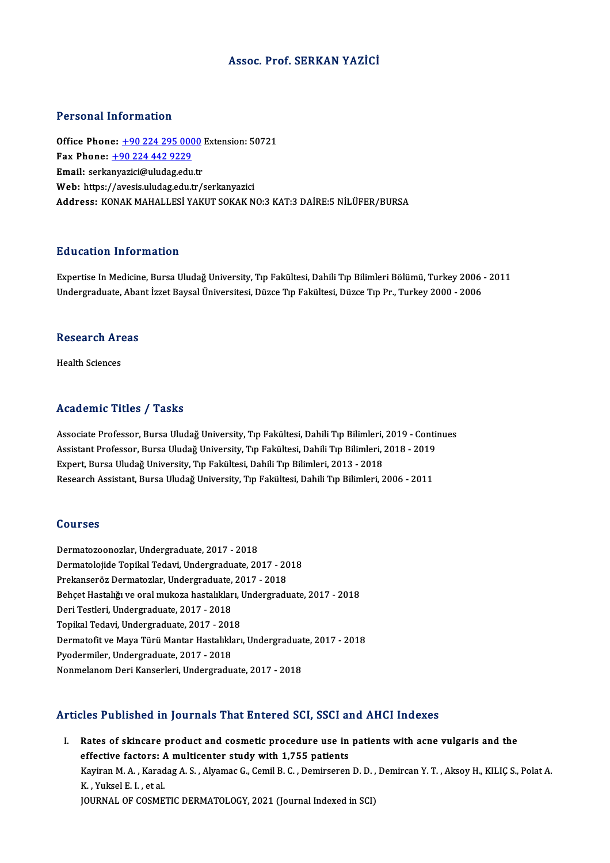### Assoc. Prof. SERKAN YAZİCİ

#### Personal Information

**Personal Information<br>Office Phone: <u>+90 224 295 0000</u> Extension: 50721<br>Fax Phone: 190 224 442 9229** 1 0100111 11101 1111011<br>
0ffice Phone: <u>+90 224 295 000</u><br>
Fax Phone: <u>+90 224 442 9229</u> Office Phone: <u>+90 224 295 0000</u><br>Fax Phone: <u>+90 224 442 9229</u><br>Email: serka[nyazici@uludag.ed](tel:+90 224 442 9229)[u.tr](tel:+90 224 295 0000) Fax Phone: <u>+90 224 442 9229</u><br>Email: serkanyazici@uludag.edu.tr<br>Web: https://avesis.uludag.edu.tr/serkanyazici Address: KONAK MAHALLESİ YAKUT SOKAK NO:3 KAT:3 DAİRE:5 NİLÜFER/BURSA

#### Education Information

Expertise In Medicine, Bursa Uludağ University, Tıp Fakültesi, Dahili Tıp Bilimleri Bölümü, Turkey 2006 - 2011 Undergraduate, Abant İzzet Baysal Üniversitesi, Düzce Tıp Fakültesi, Düzce Tıp Pr., Turkey 2000 - 2006

## ondergraduate, Abal<br>Research Areas R<mark>esearch Ar</mark><br>Health Sciences

## Academic Titles / Tasks

Associate Professor, Bursa Uludağ University, Tıp Fakültesi, Dahili Tıp Bilimleri, 2019 - Continues Associate Professor, Bursa Uludağ University, Tıp Fakültesi, Dahili Tıp Bilimleri, 2019 - Contin<br>Assistant Professor, Bursa Uludağ University, Tıp Fakültesi, Dahili Tıp Bilimleri, 2018 - 2019<br>Evnert, Bursa Uludağ Universit Associate Professor, Bursa Uludağ University, Tıp Fakültesi, Dahili Tıp Bilimleri,<br>Assistant Professor, Bursa Uludağ University, Tıp Fakültesi, Dahili Tıp Bilimleri, .<br>2013 - 2013 - 2018 - Propessity, Tıp Fakültesi, Dahili Assistant Professor, Bursa Uludağ University, Tıp Fakültesi, Dahili Tıp Bilimleri, 2018 - 2019<br>Expert, Bursa Uludağ University, Tıp Fakültesi, Dahili Tıp Bilimleri, 2013 - 2018<br>Research Assistant, Bursa Uludağ University, Research Assistant, Bursa Uludağ University, Tıp Fakültesi, Dahili Tıp Bilimleri, 2006 - 2011<br>Courses

Dermatozoonozlar,Undergraduate,2017 -2018 Dermatolojide Topikal Tedavi, Undergraduate, 2017 - 2018 Dermatozoonozlar, Undergraduate, 2017 - 2018<br>Dermatolojide Topikal Tedavi, Undergraduate, 2017 - 20<br>Prekanseröz Dermatozlar, Undergraduate, 2017 - 2018<br>Behest Hesteliğuse anal mukana bastalıkları, Undergradı Behçet Hastalığı ve oral mukoza hastalıkları, Undergraduate, 2017 - 2018 Prekanseröz Dermatozlar, Undergraduate,<br>Behçet Hastalığı ve oral mukoza hastalıklar<br>Deri Testleri, Undergraduate, 2017 - 2018<br>Tenikal Tedavi, Undergraduate, 2017 - 201 Deri Testleri, Undergraduate, 2017 - 2018<br>Topikal Tedavi, Undergraduate, 2017 - 2018 Deri Testleri, Undergraduate, 2017 - 2018<br>Topikal Tedavi, Undergraduate, 2017 - 2018<br>Dermatofit ve Maya Türü Mantar Hastalıkları, Undergraduate, 2017 - 2018<br>Pvedermiler, Undergraduate, 2017 - 2019 Pyodermiler, Undergraduate, 2017 - 2018<br>Nonmelanom Deri Kanserleri, Undergraduate, 2017 - 2018 Dermatofit ve Maya Türü Mantar Hastalıkları, Undergraduat<br>Pyodermiler, Undergraduate, 2017 - 2018<br>Nonmelanom Deri Kanserleri, Undergraduate, 2017 - 2018

### Articles Published in Journals That Entered SCI, SSCI and AHCI Indexes

rticles Published in Journals That Entered SCI, SSCI and AHCI Indexes<br>I. Rates of skincare product and cosmetic procedure use in patients with acne vulgaris and the<br>offective fectors: A multisenter study with 1.755 patient Rates of skincare product and cosmetic procedure use in<br>effective factors: A multicenter study with 1,755 patients<br>Varian M.A. Varadas A.S. Alvamas G. Comil B.C. Domination Kayiran M. A. , Karadag A. S. , Alyamac G., Cemil B. C. , Demirseren D. D. , Demircan Y. T. , Aksoy H., KILIÇ S., Polat A.<br>K. , Yuksel E. I. , et al. effective factors: A multicenter study with 1,755 patients JOURNAL OF COSMETIC DERMATOLOGY, 2021 (Journal Indexed in SCI)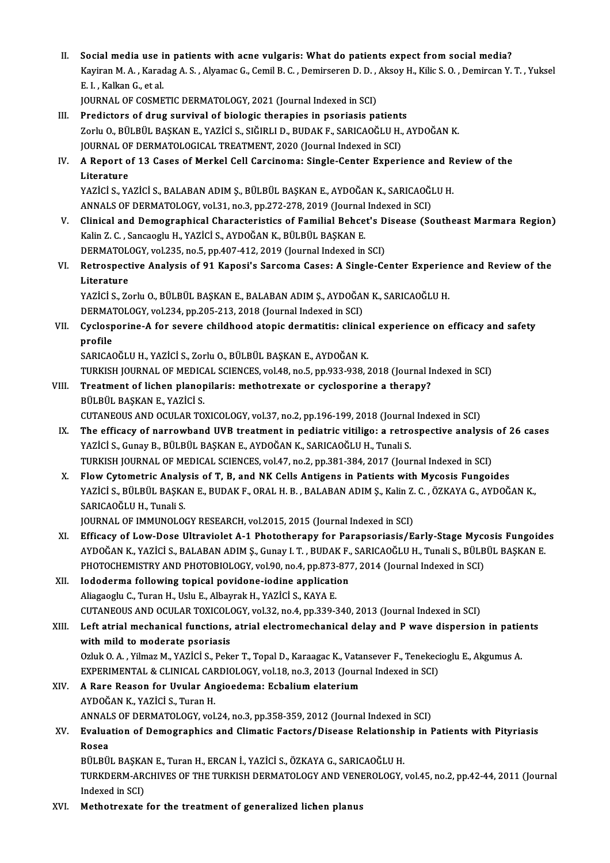II. Social media use in patients with acne vulgaris: What do patients expect from social media?<br>Equinon M.A. Kanadag A.S. Alvamag C. Camil B.C. Deminsonan D.D. Algay H. Kilia S.O. Deminson V. Social media use in patients with acne vulgaris: What do patients expect from social media?<br>Kayiran M. A. , Karadag A. S. , Alyamac G., Cemil B. C. , Demirseren D. D. , Aksoy H., Kilic S. O. , Demircan Y. T. , Yuksel Social media use i<br>Kayiran M. A. , Karac<br>E. I. , Kalkan G., et al.<br>JOUPMAL OF COSME Kayiran M. A. , Karadag A. S. , Alyamac G., Cemil B. C. , Demirseren D. D. ,<br>E. I. , Kalkan G., et al.<br>JOURNAL OF COSMETIC DERMATOLOGY, 2021 (Journal Indexed in SCI)<br>Predistars of drug survivel of biologis therenies in pse E. I. , Kalkan G., et al.<br>JOURNAL OF COSMETIC DERMATOLOGY, 2021 (Journal Indexed in SCI)<br>III. Predictors of drug survival of biologic therapies in psoriasis patients

- JOURNAL OF COSMETIC DERMATOLOGY, 2021 (Journal Indexed in SCI)<br>Predictors of drug survival of biologic therapies in psoriasis patients<br>Zorlu O., BÜLBÜL BAŞKAN E., YAZİCİ S., SIĞIRLI D., BUDAK F., SARICAOĞLU H., AYDOĞAN K.<br> Predictors of drug survival of biologic therapies in psoriasis patient:<br>Zorlu O., BÜLBÜL BAŞKAN E., YAZİCİ S., SIĞIRLI D., BUDAK F., SARICAOĞLU H.,<br>JOURNAL OF DERMATOLOGICAL TREATMENT, 2020 (Journal Indexed in SCI)<br>A Banar JOURNAL OF DERMATOLOGICAL TREATMENT, 2020 (Journal Indexed in SCI)
- IV. A Report of 13 Cases of Merkel Cell Carcinoma: Single-Center Experience and Review of the<br>Literature A Report of 13 Cases of Merkel Cell Carcinoma: Single-Center Experience and R<br>Literature<br>YAZİCİ S., YAZİCİ S., BALABAN ADIM Ş., BÜLBÜL BAŞKAN E., AYDOĞAN K., SARICAOĞLU H.<br>ANNALS OF DERMATOLOCY, vel 31, no 3, np 373, 379, Liter<mark>ature</mark><br>YAZİCİ S., YAZİCİ S., BALABAN ADIM Ş., BÜLBÜL BAŞKAN E., AYDOĞAN K., SARICAOĞI<br>ANNALS OF DERMATOLOGY, vol.31, no.3, pp.272-278, 2019 (Journal Indexed in SCI)<br>Clinisal and Demographisal Characteristies of Famil

ANNALS OF DERMATOLOGY, vol.31, no.3, pp.272-278, 2019 (Journal Indexed in SCI)

- V. Clinical and Demographical Characteristics of Familial Behcet's Disease (Southeast Marmara Region)<br>Kalin Z. C., Sancaoglu H., YAZİCİ S., AYDOĞAN K., BÜLBÜL BAŞKAN E. Clinical and Demographical Characteristics of Familial Behcet's D<br>Kalin Z. C. , Sancaoglu H., YAZİCİ S., AYDOĞAN K., BÜLBÜL BAŞKAN E.<br>DERMATOLOGY, vol.235, no.5, pp.407-412, 2019 (Journal Indexed in SCI)<br>Betrespective Anal Kalin Z. C. , Sancaoglu H., YAZİCİ S., AYDOĞAN K., BÜLBÜL BAŞKAN E.<br>DERMATOLOGY, vol.235, no.5, pp.407-412, 2019 (Journal Indexed in SCI)<br>VI. Retrospective Analysis of 91 Kaposi's Sarcoma Cases: A Single-Center Experie
- DERMATOL<br>Retrospect<br>Literature<br>VAZICI S. Ze Retrospective Analysis of 91 Kaposi's Sarcoma Cases: A Single-Center Experier<br>Literature<br>YAZİCİ S., Zorlu O., BÜLBÜL BAŞKAN E., BALABAN ADIM Ş., AYDOĞAN K., SARICAOĞLU H.<br>DERMATOLOCY vel 334 np 305 313 3018 (Jaurral Indeve

Literature<br>YAZİCİ S., Zorlu O., BÜLBÜL BAŞKAN E., BALABAN ADIM Ş., AYDOĞAI<br>DERMATOLOGY, vol.234, pp.205-213, 2018 (Journal Indexed in SCI)<br>Syslesperine A for seyere shildheed ateris dermetitie: slinis

YAZİCİ S., Zorlu O., BÜLBÜL BAŞKAN E., BALABAN ADIM Ş., AYDOĞAN K., SARICAOĞLU H.<br>DERMATOLOGY, vol.234, pp.205-213, 2018 (Journal Indexed in SCI)<br>VII. Cyclosporine-A for severe childhood atopic dermatitis: clinical experie **DERMAT**<br>Cyclosp<br>profile<br>SARICAC Cyclosporine-A for severe childhood atopic dermatitis: clinica<br>profile<br>SARICAOĞLU H., YAZİCİ S., Zorlu O., BÜLBÜL BAŞKAN E., AYDOĞAN K.<br>TURKISH JOURNAL OF MEDICAL SCIENCES vol.49, BS 5, PD.932, 939, ?

profile<br>SARICAOĞLU H., YAZİCİ S., Zorlu O., BÜLBÜL BAŞKAN E., AYDOĞAN K.<br>TURKISH JOURNAL OF MEDICAL SCIENCES, vol.48, no.5, pp.933-938, 2018 (Journal Indexed in SCI) SARICAOĞLU H., YAZİCİ S., Zorlu O., BÜLBÜL BAŞKAN E., AYDOĞAN K.<br>TURKISH JOURNAL OF MEDICAL SCIENCES, vol.48, no.5, pp.933-938, 2018 (Journal Intil Treatment of lichen planopilaris: methotrexate or cyclosporine a therapy?<br>

- TURKISH JOURNAL OF MEDIC.<br>Treatment of lichen planop<br>BÜLBÜL BAŞKAN E., YAZİCİ S.<br>CUTANEQUS AND QCULAR TO Treatment of lichen planopilaris: methotrexate or cyclosporine a therapy?<br>BÜLBÜL BAŞKAN E., YAZİCİ S.<br>CUTANEOUS AND OCULAR TOXICOLOGY, vol.37, no.2, pp.196-199, 2018 (Journal Indexed in SCI)<br>The efficesy of norrowband JIVB
- BÜLBÜL BAŞKAN E., YAZİCİ S.<br>CUTANEOUS AND OCULAR TOXICOLOGY, vol.37, no.2, pp.196-199, 2018 (Journal Indexed in SCI)<br>IX. The efficacy of narrowband UVB treatment in pediatric vitiligo: a retrospective analysis of 26 cases<br> CUTANEOUS AND OCULAR TOXICOLOGY, vol.37, no.2, pp.196-199, 2018 (Journa<br>The efficacy of narrowband UVB treatment in pediatric vitiligo: a retro<br>YAZİCİ S., Gunay B., BÜLBÜL BAŞKAN E., AYDOĞAN K., SARICAOĞLU H., Tunali S.<br>TU The efficacy of narrowband UVB treatment in pediatric vitiligo: a retrospective analysis of 26 cases<br>YAZİCİ S., Gunay B., BÜLBÜL BAŞKAN E., AYDOĞAN K., SARICAOĞLU H., Tunali S.<br>TURKISH JOURNAL OF MEDICAL SCIENCES, vol.47, YAZICI S., Gunay B., BÜLBÜL BAŞKAN E., AYDOĞAN K., SARICAOĞLU H., Tunali S.<br>TURKISH JOURNAL OF MEDICAL SCIENCES, vol.47, no.2, pp.381-384, 2017 (Journal Indexed in SCI)<br>X. Flow Cytometric Analysis of T, B, and NK Cells Ant
- TURKISH JOURNAL OF MEDICAL SCIENCES, vol.47, no.2, pp.381-384, 2017 (Journal Indexed in SCI)<br>Flow Cytometric Analysis of T, B, and NK Cells Antigens in Patients with Mycosis Fungoides<br>YAZİCİ S., BÜLBÜL BAŞKAN E., BUDAK F., Flow Cytometric Analy<br>YAZİCİ S., BÜLBÜL BAŞKA<br>SARICAOĞLU H., Tunali S.<br>JOUPNAL OE IMMUNOLO YAZİCİ S., BÜLBÜL BAŞKAN E., BUDAK F., ORAL H. B. , BALABAN ADIM Ş., Kalin Z. C. , ÖZKAYA G., AYDOĞAN K.,<br>SARICAOĞLU H., Tunali S.<br>JOURNAL OF IMMUNOLOGY RESEARCH, vol.2015, 2015 (Journal Indexed in SCI)

SARICAOĞLU H., Tunali S.<br>JOURNAL OF IMMUNOLOGY RESEARCH, vol.2015, 2015 (Journal Indexed in SCI)<br>XI. Efficacy of Low-Dose Ultraviolet A-1 Phototherapy for Parapsoriasis/Early-Stage Mycosis Fungoides<br>AVDOĞAN K. YAZİCİ S. BA JOURNAL OF IMMUNOLOGY RESEARCH, vol.2015, 2015 (Journal Indexed in SCI)<br>Efficacy of Low-Dose Ultraviolet A-1 Phototherapy for Parapsoriasis/Early-Stage Mycosis Fungoide<br>AYDOĞAN K., YAZİCİ S., BALABAN ADIM Ş., Gunay I. T. , Efficacy of Low-Dose Ultraviolet A-1 Phototherapy for Parapsoriasis/Early-Stage Myco<br>AYDOĞAN K., YAZİCİ S., BALABAN ADIM Ş., Gunay I. T. , BUDAK F., SARICAOĞLU H., Tunali S., BÜLB<br>PHOTOCHEMISTRY AND PHOTOBIOLOGY, vol.90, n AYDOĞAN K., YAZİCİ S., BALABAN ADIM Ş., Gunay I. T., BUDAK F.,<br>PHOTOCHEMISTRY AND PHOTOBIOLOGY, vol.90, no.4, pp.873-87:<br>XII. Iododerma following topical povidone-iodine application<br>Aliazzaziv G. Turan H. Halv E. Albaurak

## PHOTOCHEMISTRY AND PHOTOBIOLOGY, vol.90, no.4, pp.873-<br>Iododerma following topical povidone-iodine application<br>Aliagaoglu C., Turan H., Uslu E., Albayrak H., YAZİCİ S., KAYA E.<br>CUTANEOUS AND OCULAP TOVICOLOGY, vol.33, no.4 Iododerma following topical povidone-iodine application<br>Aliagaoglu C., Turan H., Uslu E., Albayrak H., YAZİCİ S., KAYA E.<br>CUTANEOUS AND OCULAR TOXICOLOGY, vol.32, no.4, pp.339-340, 2013 (Journal Indexed in SCI)<br>Left atrial

Aliagaoglu C., Turan H., Uslu E., Albayrak H., YAZİCİ S., KAYA E.<br>CUTANEOUS AND OCULAR TOXICOLOGY, vol.32, no.4, pp.339-340, 2013 (Journal Indexed in SCI)<br>XIII. Left atrial mechanical functions, atrial electromechanical de CUTANEOUS AND OCULAR TOXICOLO<br>Left atrial mechanical functions,<br>with mild to moderate psoriasis<br>Orluk 0. A. Vilmar M. VAZICLS, Bolg Left atrial mechanical functions, atrial electromechanical delay and P wave dispersion in patie<br>with mild to moderate psoriasis<br>Ozluk O. A., Yilmaz M., YAZİCİ S., Peker T., Topal D., Karaagac K., Vatansever F., Tenekeciogl with mild to moderate psoriasis<br>Ozluk O. A. , Yilmaz M., YAZİCİ S., Peker T., Topal D., Karaagac K., Vatansever F., Tenekeci<br>EXPERIMENTAL & CLINICAL CARDIOLOGY, vol.18, no.3, 2013 (Journal Indexed in SCI)<br>A Pare Peason for EXPERIMENTAL & CLINICAL CARDIOLOGY, vol.18, no.3, 2013 (Journal Indexed in SCI)

## XIV. A Rare Reason for Uvular Angioedema: Ecbalium elaterium<br>AYDOĞAN K., YAZİCİ S., Turan H. A Rare Reason for Uvular Angioedema: Ecbalium elaterium<br>AYDOĞAN K., YAZİCİ S., Turan H.<br>ANNALS OF DERMATOLOGY, vol.24, no.3, pp.358-359, 2012 (Journal Indexed in SCI)<br>Evaluation of Demographies and Climatis Easters (Diseas

## XV. Evaluation of Demographics and Climatic Factors/Disease Relationship in Patients with Pityriasis ANNAL<br><mark>Evalua</mark><br>Rosea<br>Pül Pü Bvaluation of Demographics and Climatic Factors/Disease Relationsh<br>Rosea<br>BÜLBÜL BAŞKAN E., Turan H., ERCAN İ., YAZİCİ S., ÖZKAYA G., SARICAOĞLU H.<br>TURKDERM ARCHIVES OF THE TURKISH DERMATOLOCY AND VENEROLOCY :

TURKDERM-ARCHIVES OF THE TURKISH DERMATOLOGY AND VENEROLOGY, vol.45, no.2, pp.42-44, 2011 (Journal Indexed in SCI) BÜLBÜL BAŞKA<br>TURKDERM-AR<br>Indexed in SCI)<br>Methetrevate

XVI. Methotrexate for the treatment of generalized lichen planus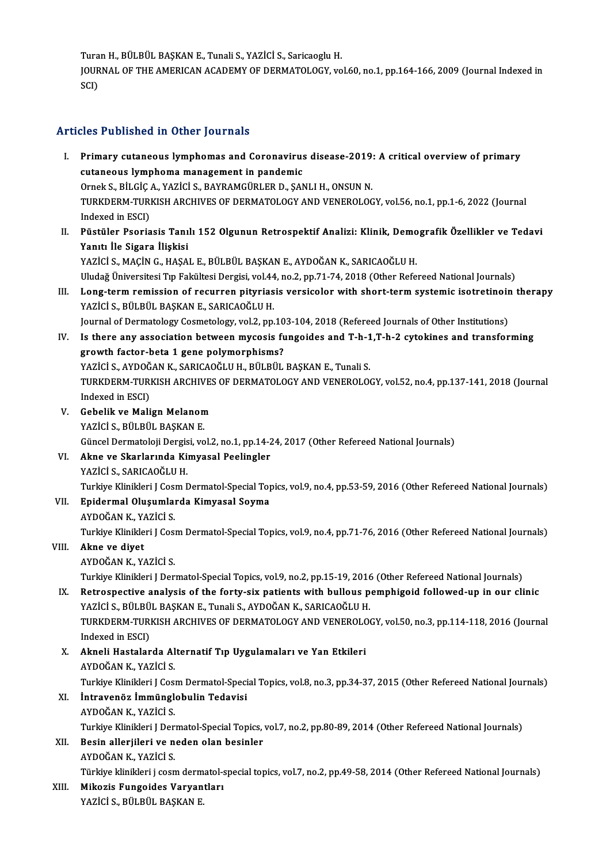Turan H., BÜLBÜL BAŞKAN E., Tunali S., YAZİCİ S., Saricaoglu H.<br>JOUPNAL OF THE AMERICAN ACADEMY OF DEPMATOLOCY ve

JOURNAL OF THE AMERICAN ACADEMY OF DERMATOLOGY, vol.60, no.1, pp.164-166, 2009 (Journal Indexed in SCI) Tura<br>JOUR<br>SCI)

## Articles Published in Other Journals

- rticles Published in Other Journals<br>I. Primary cutaneous lymphomas and Coronavirus disease-2019: A critical overview of primary<br>cutaneous lymphoma management in pandomia cutaneous lymphomas and Coronavirus<br>Primary cutaneous lymphomas and Coronavirus<br>cutaneous lymphoma management in pandemic<br>Ornels S. Pit.Cic.A. VAZICIS PAVPAMCÜPLEP D. SAN Primary cutaneous lymphomas and Coronavirus disease-2019;<br>cutaneous lymphoma management in pandemic<br>Ornek S., BİLGİÇ A., YAZİCİ S., BAYRAMGÜRLER D., ŞANLI H., ONSUN N.<br>TURKDERM TURKISH ARCHIVES OF DERMATOLOCY AND VENEROLOC cutaneous lymphoma management in pandemic<br>Ornek S., BİLGİÇ A., YAZİCİ S., BAYRAMGÜRLER D., ŞANLI H., ONSUN N.<br>TURKDERM-TURKISH ARCHIVES OF DERMATOLOGY AND VENEROLOGY, vol.56, no.1, pp.1-6, 2022 (Journal<br>Indeved in ESCL Ornek S., BİLGİÇ<br>TURKDERM-TURI<br>Indexed in ESCI)<br>Püstüler Peeris TURKDERM-TURKISH ARCHIVES OF DERMATOLOGY AND VENEROLOGY, vol.56, no.1, pp.1-6, 2022 (Journal<br>Indexed in ESCI)<br>II. Püstüler Psoriasis Tanılı 152 Olgunun Retrospektif Analizi: Klinik, Demografik Özellikler ve Tedavi<br>Vanıtı İ
- Indexed in ESCI)<br>Püstüler Psoriasis Tanı<br>Yanıtı İle Sigara İlişkisi<br>YAZİÇİ S. MAÇİN G. HASA Püstüler Psoriasis Tanılı 152 Olgunun Retrospektif Analizi: Klinik, Demo<br>Yanıtı İle Sigara İlişkisi<br>YAZİCİ S., MAÇİN G., HAŞAL E., BÜLBÜL BAŞKAN E., AYDOĞAN K., SARICAOĞLU H.<br>Uludağ Üniversitesi En Fakültesi Dersisi vel 44 Yanıtı İle Sigara İlişkisi<br>YAZİCİ S., MAÇİN G., HAŞAL E., BÜLBÜL BAŞKAN E., AYDOĞAN K., SARICAOĞLU H.<br>Uludağ Üniversitesi Tıp Fakültesi Dergisi, vol.44, no.2, pp.71-74, 2018 (Other Refereed National Journals)

- YAZİCİ S., MAÇİN G., HAŞAL E., BÜLBÜL BAŞKAN E., AYDOĞAN K., SARICAOĞLU H.<br>Uludağ Üniversitesi Tıp Fakültesi Dergisi, vol.44, no.2, pp.71-74, 2018 (Other Refereed National Journals)<br>III. Long-term remission of recurren YAZİCİ S., BÜLBÜL BAŞKAN E., SARICAOĞLU H.<br>Journal of Dermatology Cosmetology, vol.2, pp.103-104, 2018 (Refereed Journals of Other Institutions) Long-term remission of recurren pityriasis versicolor with short-term systemic isotretinoir<br>YAZİCİ S., BÜLBÜL BAŞKAN E., SARICAOĞLU H.<br>Journal of Dermatology Cosmetology, vol.2, pp.103-104, 2018 (Refereed Journals of Other
- YAZİCİ S., BÜLBÜL BAŞKAN E., SARICAOĞLU H.<br>Journal of Dermatology Cosmetology, vol.2, pp.103-104, 2018 (Refereed Journals of Other Institutions)<br>IV. Is there any association between mycosis fungoides and T-h-1,T-h-2 cytoki Journal of Dermatology Cosmetology, vol.2, pp.10<br>Is there any association between mycosis fu<br>growth factor-beta 1 gene polymorphisms?<br>YAZICLS ANDOČAN K. SARICAOČLU H. RÜLRÜL Is there any association between mycosis fungoides and T-h-1<br>growth factor-beta 1 gene polymorphisms?<br>YAZİCİ S., AYDOĞAN K., SARICAOĞLU H., BÜLBÜL BAŞKAN E., Tunali S.<br>TURKDERM TURKISH ARCHIVES OF DERMATOLOCY AND VENEROLOG growth factor-beta 1 gene polymorphisms?<br>YAZİCİ S., AYDOĞAN K., SARICAOĞLU H., BÜLBÜL BAŞKAN E., Tunali S.<br>TURKDERM-TURKISH ARCHIVES OF DERMATOLOGY AND VENEROLOGY, vol.52, no.4, pp.137-141, 2018 (Journal<br>Indoved in ESCL YAZİCİ S., AYDOĞ<br>TURKDERM-TURI<br>Indexed in ESCI)<br>Cobelik ve Mali TURKDERM-TURKISH ARCHIVES<br>Indexed in ESCI)<br>V. Gebelik ve Malign Melanom<br>VAZICI S. PÜLPÜL PASKAN E
- Indexed in ESCI)<br>V. Gebelik ve Malign Melanom<br>YAZİCİ S., BÜLBÜL BAŞKAN E. Gebelik ve Malign Melanom<br>YAZİCİ S., BÜLBÜL BAŞKAN E.<br>Güncel Dermatoloji Dergisi, vol.2, no.1, pp.14-24, 2017 (Other Refereed National Journals)<br>Akna ve Skarlarında Kimyasal Beelingler
- VI. Akne ve Skarlarında Kimyasal Peelingler Güncel Dermatoloji Dergis<br><mark>Akne ve Skarlarında Ki</mark>:<br>YAZİCİ S., SARICAOĞLU H.<br>Turkiye Klinikleri I Ceem I

Akne ve Skarlarında Kimyasal Peelingler<br>YAZİCİ S., SARICAOĞLU H.<br>Turkiye Klinikleri J Cosm Dermatol-Special Topics, vol.9, no.4, pp.53-59, 2016 (Other Refereed National Journals)<br>Enidermal Olyaumlarda Kimyasal Soyma

- VII. Epidermal Oluşumlarda Kimyasal Soyma<br>AYDOĞAN K., YAZİCİ S. Turkiye Klinikleri J Cosi<br><mark>Epidermal Oluşumlaı</mark><br>AYDOĞAN K., YAZİCİ S.<br>Turkiye Klinikleri J Cosi Epidermal Oluşumlarda Kimyasal Soyma<br>AYDOĞAN K., YAZİCİ S.<br>Turkiye Klinikleri J Cosm Dermatol-Special Topics, vol.9, no.4, pp.71-76, 2016 (Other Refereed National Journals) Turkiye Klinikleri J Cosi<br><mark>Akne ve diyet</mark><br>AYDOĞAN K., YAZİCİ S.<br>Turkiye Klinikleri J Der
- VIII. Akne ve diyet<br>AYDOĞAN K., YAZİCİ S.

Akne ve diyet<br>AYDOĞAN K., YAZİCİ S.<br>Turkiye Klinikleri J Dermatol-Special Topics, vol.9, no.2, pp.15-19, 2016 (Other Refereed National Journals)<br>Petrespective analysis of the ferty six patients with bulleus pemphiseid fell

AYDOĞAN K., YAZİCİ S.<br>Turkiye Klinikleri J Dermatol-Special Topics, vol.9, no.2, pp.15-19, 2016 (Other Refereed National Journals)<br>IX. Retrospective analysis of the forty-six patients with bullous pemphigoid followed-u Turkiye Klinikleri J Dermatol-Special Topics, vol.9, no.2, pp.15-19, 2016<br>Retrospective analysis of the forty-six patients with bullous p<br>YAZİCİ S., BÜLBÜL BAŞKAN E., Tunali S., AYDOĞAN K., SARICAOĞLU H.<br>TURKDERM TURKISH A Retrospective analysis of the forty-six patients with bullous pemphigoid followed-up in our clinic<br>YAZİCİ S., BÜLBÜL BAŞKAN E., Tunali S., AYDOĞAN K., SARICAOĞLU H.<br>TURKDERM-TURKISH ARCHIVES OF DERMATOLOGY AND VENEROLOGY, YAZİCİ S., BÜLBÜ<br>TURKDERM-TURI<br>Indexed in ESCI)<br>Almeli Hastalar TURKDERM-TURKISH ARCHIVES OF DERMATOLOGY AND VENEROLO<br>Indexed in ESCI)<br>X. Akneli Hastalarda Alternatif Tıp Uygulamaları ve Yan Etkileri<br>AVDOČAN K. YAZİCİ S

- Indexed in ESCI)<br>X. Akneli Hastalarda Alternatif Tıp Uygulamaları ve Yan Etkileri<br>AYDOĞAN K., YAZİCİ S. Akneli Hastalarda Alternatif Tıp Uygulamaları ve Yan Etkileri<br>AYDOĞAN K., YAZİCİ S.<br>Turkiye Klinikleri J Cosm Dermatol-Special Topics, vol.8, no.3, pp.34-37, 2015 (Other Refereed National Journals)<br>İntravanêr İmmünglebulin
- XI. İntravenöz İmmünglobulin Tedavisi Turkiye Klinikleri J Cos<mark>i</mark><br>İntravenöz İmmünglı<br>AYDOĞAN K., YAZİCİ S.<br>Turkiye Klinikleri J Der Turkiye Klinikleri J Dermatol-Special Topics, vol.7, no.2, pp.80-89, 2014 (Other Refereed National Journals)
- AYDOĞAN K., YAZİCİ S.<br>Turkiye Klinikleri J Dermatol-Special Topics,<br>XII. Besin allerjileri ve neden olan besinler Turkiye Klinikleri J Der:<br><mark>Besin allerjileri ve n</mark><br>AYDOĞAN K., YAZİCİ S.<br>Türkiye klinikleri i sesn Besin allerjileri ve neden olan besinler<br>AYDOĞAN K., YAZİCİ S.<br>Türkiye klinikleri j cosm dermatol-special topics, vol.7, no.2, pp.49-58, 2014 (Other Refereed National Journals)

AYDOĞAN K., YAZİCİ S.<br>Türkiye klinikleri j cosm dermatol-s<br>XIII. Mikozis Fungoides Varyantları<br>YAZİCİ S., BÜLBÜL BAŞKAN E. Türkiye klinikleri j cosm derm<br><mark>Mikozis Fungoides Varyan</mark><br>YAZİCİ S., BÜLBÜL BAŞKAN E.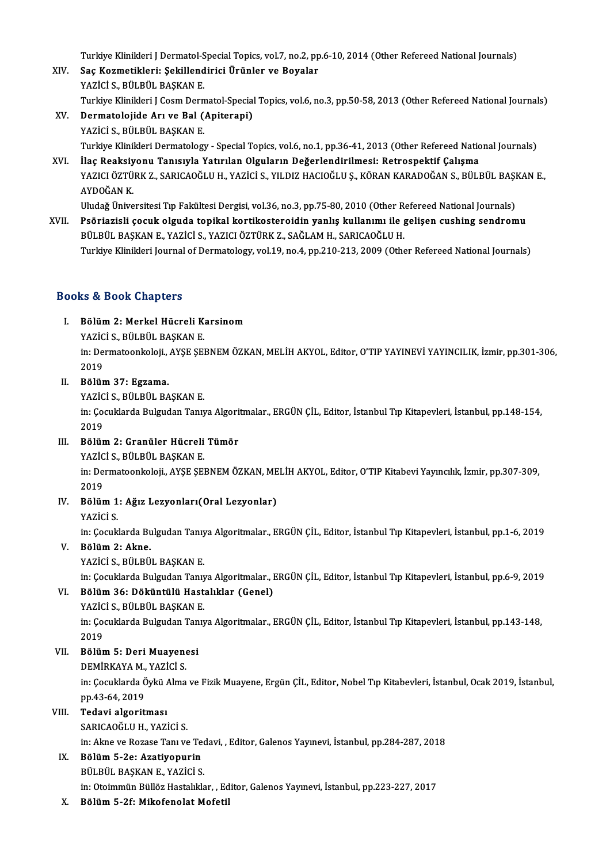Turkiye Klinikleri J Dermatol-Special Topics, vol.7, no.2, pp.6-10, 2014 (Other Refereed National Journals)<br>See Kormatikleri: Sekillendirici Ürünler ve Boyeler

- XIV. Saç Kozmetikleri: Şekillendirici Ürünler ve Boyalar<br>YAZİCİ S., BÜLBÜL BASKAN E. Turkiye Klinikleri J Dermatol-S<br><mark>Saç Kozmetikleri: Şekillend</mark><br>YAZİCİ S., BÜLBÜL BAŞKAN E.<br>Turkiye Klinikleri L Ceem Dern Turkiye Klinikleri J Cosm Dermatol-Special Topics, vol.6, no.3, pp.50-58, 2013 (Other Refereed National Journals)
- XV. Dermatolojide Arı ve Bal (Apiterapi) YAZİCİ S., BÜLBÜL BAŞKAN E. Dermatolojide Arı ve Bal (Apiterapi)<br>YAZİCİ S., BÜLBÜL BAŞKAN E.<br>Turkiye Klinikleri Dermatology - Special Topics, vol.6, no.1, pp.36-41, 2013 (Other Refereed National Journals)<br>İlaş Boəksiyonu Tanısıyla Yatırılan Olsuların YAZİCİ S., BÜLBÜL BAŞKAN E.<br>Turkiye Klinikleri Dermatology - Special Topics, vol.6, no.1, pp.36-41, 2013 (Other Refereed Natic<br>XVI. İlaç Reaksiyonu Tanısıyla Yatırılan Olguların Değerlendirilmesi: Retrospektif Çalışma<br>XAZI
- Turkiye Klinikleri Dermatology Special Topics, vol.6, no.1, pp.36-41, 2013 (Other Refereed National Journals)<br>İlaç Reaksiyonu Tanısıyla Yatırılan Olguların Değerlendirilmesi: Retrospektif Çalışma<br>YAZICI ÖZTÜRK Z., SARICA İ<mark>laç Reaksiy</mark><br>YAZICI ÖZTÜ<br>AYDOĞAN K.<br>Uludoğ Üniye YAZICI ÖZTÜRK Z., SARICAOĞLU H., YAZİCİ S., YILDIZ HACIOĞLU Ş., KÖRAN KARADOĞAN S., BÜLBÜL BAŞI<br>AYDOĞAN K.<br>Uludağ Üniversitesi Tıp Fakültesi Dergisi, vol.36, no.3, pp.75-80, 2010 (Other Refereed National Journals)<br>Beğrisgi

AYDOĞAN K.<br>Uludağ Üniversitesi Tıp Fakültesi Dergisi, vol.36, no.3, pp.75-80, 2010 (Other Refereed National Journals)<br>XVII. Psöriazisli çocuk olguda topikal kortikosteroidin yanlış kullanımı ile gelişen cushing sendrom Uludağ Üniversitesi Tıp Fakültesi Dergisi, vol.36, no.3, pp.75-80, 2010 (Other R<br>Psöriazisli çocuk olguda topikal kortikosteroidin yanlış kullanımı ile <sub>{</sub><br>BÜLBÜL BAŞKAN E., YAZİCİ S., YAZICI ÖZTÜRK Z., SAĞLAM H., SARICAOĞ XVII. Psöriazisli çocuk olguda topikal kortikosteroidin yanlış kullanımı ile gelişen cushing sendromu<br>BÜLBÜL BAŞKAN E., YAZİCİ S., YAZICI ÖZTÜRK Z., SAĞLAM H., SARICAOĞLU H.<br>Turkiye Klinikleri Journal of Dermatology, vol.1

## Books&Book Chapters

- ooks & Book Chapters<br>I. Bölüm 2: Merkel Hücreli Karsinom<br>XAZİÇİ S PÜLPÜL PASYAN E YAZİCİ S., BÜLBÜL BAŞKAN<br>Bölüm 2: Merkel Hücreli K.<br>YAZİCİ S., BÜLBÜL BAŞKAN E. Bölüm 2: Merkel Hücreli Karsinom<br>YAZİCİ S., BÜLBÜL BAŞKAN E.<br>in: Dermatoonkoloji., AYŞE ŞEBNEM ÖZKAN, MELİH AKYOL, Editor, O'TIP YAYINEVİ YAYINCILIK, İzmir, pp.301-306,<br>2019 **YAZIC**<br>in: Dei<br>2019<br>Pälün 2019<br>II. Bölüm 37: Egzama.
- 

YAZİCİ S., BÜLBÜL BAŞKAN E.

Bölüm 37: Egzama.<br>YAZİCİ S., BÜLBÜL BAŞKAN E.<br>in: Çocuklarda Bulgudan Tanıya Algoritmalar., ERGÜN ÇİL, Editor, İstanbul Tıp Kitapevleri, İstanbul, pp.148-154,<br>2019 YAZİC<br>in: Çoo<br>2019<br>Pölün in: Çocuklarda Bulgudan Tanıya Algori<br>2019<br>III. Bölüm 2: Granüler Hücreli Tümör<br>VAZİÇİ S. PÜLPÜL PASYAN E

- 2019<br>Bölüm 2: Granüler Hücreli<br>YAZİCİ S., BÜLBÜL BAŞKAN E.<br>in: Dermeteonkaleji AVSE SEL Bölüm 2: Granüler Hücreli Tümör<br>YAZİCİ S., BÜLBÜL BAŞKAN E.<br>in: Dermatoonkoloji., AYŞE ŞEBNEM ÖZKAN, MELİH AKYOL, Editor, O'TIP Kitabevi Yayıncılık, İzmir, pp.307-309,<br>2019 **YAZİC**<br>in: De:<br>2019<br>Pölür
- in: Dermatoonkoloji., AYŞE ŞEBNEM ÖZKAN, ME<br>2019<br>IV. Bölüm 1: Ağız Lezyonları(Oral Lezyonlar)<br>VAZİÇİ S 2019<br>Bölüm 1<br>YAZİCİ S.

Bölüm 1: Ağız Lezyonları(Oral Lezyonlar)<br>YAZİCİ S.<br>in: Çocuklarda Bulgudan Tanıya Algoritmalar., ERGÜN ÇİL, Editor, İstanbul Tıp Kitapevleri, İstanbul, pp.1-6, 2019<br>Bölüm 2: Alme YAZİCİ S.<br>in: Çocuklarda Bulgudan Tanıy<br>V. Bölüm 2: Akne.<br>YAZİCİ S., BÜLBÜL BAŞKAN E.

in: Çocuklarda Bulgudan Tanıy<br><mark>Bölüm 2: Akne.</mark><br>YAZİCİ S., BÜLBÜL BAŞKAN E.<br>in: Cosuklarda Bulsudan Tanır

Bölüm 2: Akne.<br>YAZİCİ S., BÜLBÜL BAŞKAN E.<br>in: Çocuklarda Bulgudan Tanıya Algoritmalar., ERGÜN ÇİL, Editor, İstanbul Tıp Kitapevleri, İstanbul, pp.6-9, 2019<br>Bölüm 36: Döküntülü Hastalıklar. (Canal)

YAZİCİ S., BÜLBÜL BAŞKAN E.<br>in: Çocuklarda Bulgudan Tanıya Algoritmalar., I<br>VI. Bölüm 36: Döküntülü Hastalıklar (Genel)<br>VAZİCİ S. BÜLBÜL BASKAN E in: Çocuklarda Bulgudan Tanıy<br>Bölüm 36: Döküntülü Hast<br>YAZİCİ S., BÜLBÜL BAŞKAN E.<br>in: Cosuklarda Bulgudan Tanıı

Bölüm 36: Döküntülü Hastalıklar (Genel)<br>YAZİCİ S., BÜLBÜL BAŞKAN E.<br>in: Çocuklarda Bulgudan Tanıya Algoritmalar., ERGÜN ÇİL, Editor, İstanbul Tıp Kitapevleri, İstanbul, pp.143-148,<br>2019 YAZİC<br>in: Çoo<br>2019<br>Pölün in: Çocuklarda Bulgudan Tan<br>2019<br>VII. Bölüm 5: Deri Muayenesi<br>DEMİRKAYA M. YAZİÇİ S 2019<br>Bölüm 5: Deri Muayen<br>DEMİRKAYA M., YAZİCİ S.<br>in: Cosuklarda Öylü Alma

DEMİRKAYA M., YAZİCİ S.

in: Çocuklarda Öykü Alma ve Fizik Muayene, Ergün ÇİL, Editor, Nobel Tıp Kitabevleri, İstanbul, Ocak 2019, İstanbul,<br>pp.43-64, 2019

## VIII. Tedavi algoritması

SARICAOĞLU H., YAZİCİ S.

Tedavi algoritması<br>SARICAOĞLU H., YAZİCİ S.<br>in: Akne ve Rozase Tanı ve Tedavi, , Editor, Galenos Yayınevi, İstanbul, pp.284-287, 2018<br>Bölüm 5.201 Arativonunin

- IX. Bölüm 5-2e: Azatiyopurin<br>BÜLBÜL BASKAN E., YAZİCİ S. in: Akne ve Rozase Tanı ve Tec<br>Bölüm 5-2e: Azatiyopurin<br>BÜLBÜL BAŞKAN E., YAZİCİ S.<br>in: Otaimmün Büllöz Hastalılıla Bölüm 5-2e: Azatiyopurin<br>BÜLBÜL BAŞKAN E., YAZİCİ S.<br>in: Otoimmün Büllöz Hastalıklar, , Editor, Galenos Yayınevi, İstanbul, pp.223-227, 2017<br>Bölüm 5, 2f: Mikofonolat Mofatil BÜLBÜL BAŞKAN E., YAZİCİ S.<br>in: Otoimmün Büllöz Hastalıklar, , Ed<br>X. Bölüm 5-2f: Mikofenolat Mofetil
-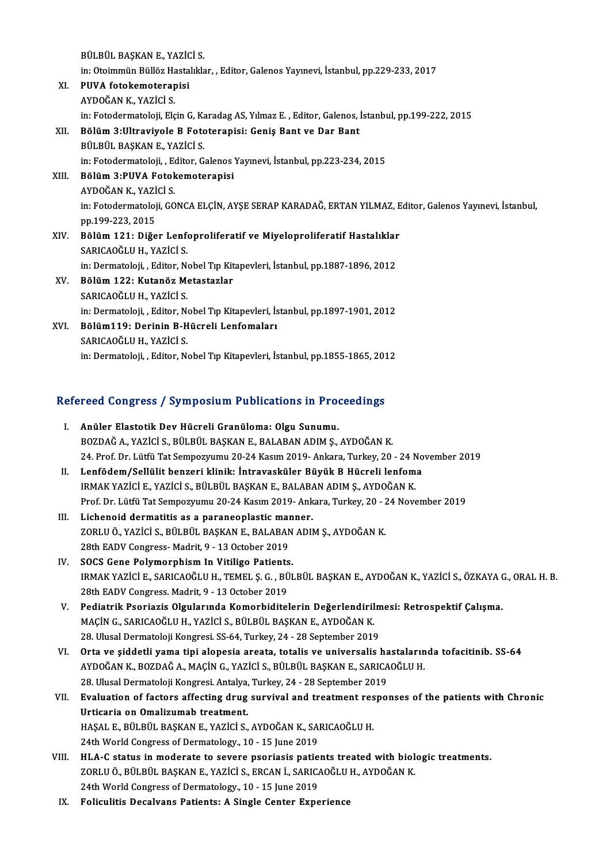BÜLBÜL BAŞKAN E, YAZİCİ S. BÜLBÜL BAŞKAN E., YAZİCİ S.<br>in: Otoimmün Büllöz Hastalıklar, , Editor, Galenos Yayınevi, İstanbul, pp.229-233, 2017<br>PUVA fatekameterenisi XI. PUVA fotokemoterapisi in: Otoimmün Büllöz Ha<br><mark>PUVA fotokemoterap</mark><br>AYDOĞAN K., YAZİCİ S.<br>in: Estedermateleji, Ela in: Fotodermatoloji, Elçin G, Karadag AS, Yılmaz E., Editor, Galenos, İstanbul, pp.199-222, 2015 AYDOĞAN K., YAZİCİ S.<br>in: Fotodermatoloji, Elçin G, Karadag AS, Yılmaz E. , Editor, Galenos, İ<br>XII. Bölüm 3:Ultraviyole B Fototerapisi: Geniş Bant ve Dar Bant<br>Pül Pül PASKAN E. YAZİCİ S in: Fotodermatoloji, Elçin G, Ka<br>Bölüm 3:Ultraviyole B Foto<br>BÜLBÜL BAŞKAN E., YAZİCİ S.<br>in: Estedermatoloji - Editer G Bölüm 3:Ultraviyole B Fototerapisi: Geniş Bant ve Dar Bant<br>BÜLBÜL BAŞKAN E., YAZİCİ S.<br>in: Fotodermatoloji, , Editor, Galenos Yayınevi, İstanbul, pp.223-234, 2015<br>Bölüm 3:BUVA Fotokemataranisi BÜLBÜL BAŞKAN E., YAZİCİ S.<br>in: Fotodermatoloji, , Editor, Galenos<br>XIII. Bölüm 3:PUVA Fotokemoterapisi in: Fotodermatoloji, , Ec<br>Bölüm 3:PUVA Fotok<br>AYDOĞAN K., YAZİCİ S.<br>in: Estedermatoloji, CO Bölüm 3:PUVA Fotokemoterapisi<br>AYDOĞAN K., YAZİCİ S.<br>in: Fotodermatoloji, GONCA ELÇİN, AYŞE SERAP KARADAĞ, ERTAN YILMAZ, Editor, Galenos Yayınevi, İstanbul,<br>pp.199.222.2015 AYDOĞAN K., YAZİ<br>in: Fotodermatoloj<br>pp.199-223, 2015<br>Pālūm 121. Dižo in: Fotodermatoloji, GONCA ELÇİN, AYŞE SERAP KARADAĞ, ERTAN YILMAZ, E<br>pp.199-223, 2015<br>XIV. Bölüm 121: Diğer Lenfoproliferatif ve Miyeloproliferatif Hastalıklar<br>SARICAQĞLILH YAZİCİ S pp.199-223, 2015<br>Bölüm 121: Diğer Lenf<br>SARICAOĞLUH., YAZİCİ S.<br>in: Dermeteleii - Editer N. Bölüm 121: Diğer Lenfoproliferatif ve Miyeloproliferatif Hastalıklar<br>SARICAOĞLU H., YAZİCİ S.<br>in: Dermatoloji, , Editor, Nobel Tıp Kitapevleri, İstanbul, pp.1887-1896, 2012<br>Bölüm 122: Kutanör Metastarlar SARICAOĞLU H., YAZİCİ S.<br>in: Dermatoloji, , Editor, Nobel Tıp Kit<br>XV. Bölüm 122: Kutanöz Metastazlar<br>SARICAOĞLU H., YAZİCİ S. in: Dermatoloji, , Editor, Nobel Tıp Kitapevleri, İstanbul, pp.1887-1896, 2012 Bölüm 122: Kutanöz Metastazlar<br>SARICAOĞLU H., YAZİCİ S.<br>in: Dermatoloji, , Editor, Nobel Tıp Kitapevleri, İstanbul, pp.1897-1901, 2012<br>Bölüm119: Derinin B. Hüsreli Lenfemelerı SARICAOĞLU H., YAZİCİ S.<br>in: Dermatoloji, , Editor, Nobel Tıp Kitapevleri, İs<br>XVI. Bölüm119: Derinin B-Hücreli Lenfomaları<br>SARICAOĞLU H. YAZİCİ S in: Dermatoloji, , Editor, No<br>Bölüm119: Derinin B-H<br>SARICAOĞLU H., YAZİCİ S.<br>in: Dermatoloji - Editor N. XVI. Bölüm119: Derinin B-Hücreli Lenfomaları<br>SARICAOĞLU H., YAZİCİ S.<br>in: Dermatoloji, , Editor, Nobel Tıp Kitapevleri, İstanbul, pp.1855-1865, 2012

# m: Dermatoloji, , Editor, Nobel Tip Kitapevieri, Istanbul, pp.1855-1865, 201<br>Refereed Congress / Symposium Publications in Proceedings

| Refereed Congress / Symposium Publications in Proceedings |                                                                                                              |  |
|-----------------------------------------------------------|--------------------------------------------------------------------------------------------------------------|--|
| L                                                         | Anüler Elastotik Dev Hücreli Granüloma: Olgu Sunumu.                                                         |  |
|                                                           | BOZDAĞ A., YAZİCİ S., BÜLBÜL BAŞKAN E., BALABAN ADIM Ş., AYDOĞAN K.                                          |  |
|                                                           | 24. Prof. Dr. Lütfü Tat Sempozyumu 20-24 Kasım 2019- Ankara, Turkey, 20 - 24 November 2019                   |  |
| II.                                                       | Lenfödem/Sellülit benzeri klinik: İntravasküler Büyük B Hücreli lenfoma                                      |  |
|                                                           | IRMAK YAZİCİ E., YAZİCİ S., BÜLBÜL BAŞKAN E., BALABAN ADIM Ş., AYDOĞAN K.                                    |  |
|                                                           | Prof. Dr. Lütfü Tat Sempozyumu 20-24 Kasım 2019- Ankara, Turkey, 20 - 24 November 2019                       |  |
| III.                                                      | Lichenoid dermatitis as a paraneoplastic manner.                                                             |  |
|                                                           | ZORLU Ö., YAZİCİ S., BÜLBÜL BAŞKAN E., BALABAN ADIM Ş., AYDOĞAN K.                                           |  |
|                                                           | 28th EADV Congress-Madrit, 9 - 13 October 2019                                                               |  |
| IV.                                                       | SOCS Gene Polymorphism In Vitiligo Patients.                                                                 |  |
|                                                           | IRMAK YAZİCİ E., SARICAOĞLU H., TEMEL Ş. G. , BÜLBÜL BAŞKAN E., AYDOĞAN K., YAZİCİ S., ÖZKAYA G., ORAL H. B. |  |
|                                                           | 28th EADV Congress. Madrit, 9 - 13 October 2019                                                              |  |
| V.                                                        | Pediatrik Psoriazis Olgularında Komorbiditelerin Değerlendirilmesi: Retrospektif Çalışma.                    |  |
|                                                           | MAÇİN G., SARICAOĞLU H., YAZİCİ S., BÜLBÜL BAŞKAN E., AYDOĞAN K.                                             |  |
|                                                           | 28. Ulusal Dermatoloji Kongresi. SS-64, Turkey, 24 - 28 September 2019                                       |  |
| VI.                                                       | Orta ve șiddetli yama tipi alopesia areata, totalis ve universalis hastalarında tofacitinib. SS-64           |  |
|                                                           | AYDOĞAN K., BOZDAĞ A., MAÇİN G., YAZİCİ S., BÜLBÜL BAŞKAN E., SARICAOĞLU H.                                  |  |
|                                                           | 28. Ulusal Dermatoloji Kongresi. Antalya, Turkey, 24 - 28 September 2019                                     |  |
| VII.                                                      | Evaluation of factors affecting drug survival and treatment responses of the patients with Chronic           |  |
|                                                           | Urticaria on Omalizumab treatment.                                                                           |  |
|                                                           | HAŞAL E., BÜLBÜL BAŞKAN E., YAZİCİ S., AYDOĞAN K., SARICAOĞLU H.                                             |  |
|                                                           | 24th World Congress of Dermatology., 10 - 15 June 2019                                                       |  |
| VIII.                                                     | HLA-C status in moderate to severe psoriasis patients treated with biologic treatments.                      |  |
|                                                           | ZORLU Ö., BÜLBÜL BAŞKAN E., YAZİCİ S., ERCAN İ., SARICAOĞLU H., AYDOĞAN K.                                   |  |
|                                                           | 24th World Congress of Dormatology, $10, 15$ June 2010                                                       |  |

24th World Congress of Dermatology., 10 - 15 June 2019

IX. Foliculitis Decalvans Patients: A Single Center Experience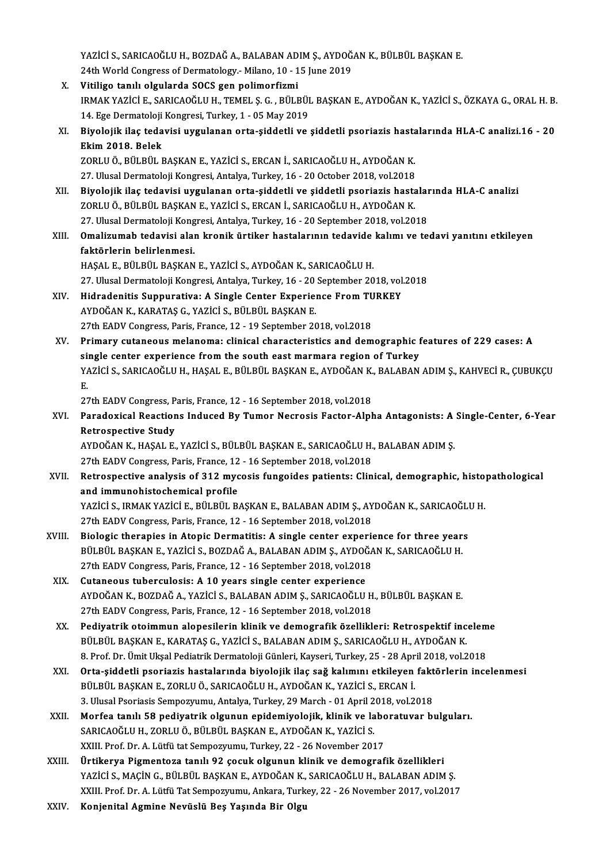YAZİCİ S., SARICAOĞLU H., BOZDAĞ A., BALABAN ADIM Ş., AYDOĞAN K., BÜLBÜL BAŞKAN E.<br>24th Warld Congress of Dermatelegy, Milane. 10, .15 June 2019. YAZİCİ S., SARICAOĞLU H., BOZDAĞ A., BALABAN ADIM Ş., AYDOĞ.<br>24th World Congress of Dermatology.- Milano, 10 - 15 June 2019<br>Vitiliga tanılı olaylanda SOCS gen nalimenfirmi 24th World Congress of Dermatology.- Milano, 10 - 15 June 2019<br>X. Vitiligo tanılı olgularda SOCS gen polimorfizmi 24th World Congress of Dermatology.- Milano, 10 - 15 June 2019<br>Vitiligo tanılı olgularda SOCS gen polimorfizmi<br>IRMAK YAZİCİ E., SARICAOĞLU H., TEMEL Ş. G. , BÜLBÜL BAŞKAN E., AYDOĞAN K., YAZİCİ S., ÖZKAYA G., ORAL H. B.<br>14 Vitiligo tanılı olgularda SOCS gen polimorfizmi<br>IRMAK YAZİCİ E., SARICAOĞLU H., TEMEL Ş. G. , BÜLBÜI<br>14. Ege Dermatoloji Kongresi, Turkey, 1 - 05 May 2019<br>Biyolojik ilaş tadayisi uygulanan orta siddətli ye IRMAK YAZİCİ E., SARICAOĞLU H., TEMEL Ş. G. , BÜLBÜL BAŞKAN E., AYDOĞAN K., YAZİCİ S., ÖZKAYA G., ORAL H. B.<br>14. Ege Dermatoloji Kongresi, Turkey, 1 - 05 May 2019<br>XI. Biyolojik ilaç tedavisi uygulanan orta-şiddetli ve 14. Ege Dermatoloji Kongresi, Turkey, 1 - 05 May 2019<br>Biyolojik ilaç tedavisi uygulanan orta-şiddetli ve<br>Ekim 2018. Belek Biyolojik ilaç tedavisi uygulanan orta-şiddetli ve şiddetli psoriazis hasta<br>Ekim 2018. Belek<br>ZORLU Ö., BÜLBÜL BAŞKAN E., YAZİCİ S., ERCAN İ., SARICAOĞLU H., AYDOĞAN K.<br>27 Hlucel Dermatoloji Kongresi, Antalya Turkey, 16, 20 20RLU Ö., BÜLBÜL BAŞKAN E., YAZİCİ S., ERCAN İ., SARICAOĞLU H., AYDOĞAN K.<br>27. Ulusal Dermatoloji Kongresi, Antalya, Turkey, 16 - 20 October 2018, vol.2018 XORLU Ö., BÜLBÜL BAŞKAN E., YAZİCİ S., ERCAN İ., SARICAOĞLU H., AYDOĞAN K.<br>27. Ulusal Dermatoloji Kongresi, Antalya, Turkey, 16 - 20 October 2018, vol.2018<br>XII. Biyolojik ilaç tedavisi uygulanan orta-şiddetli ve şiddetli p 27. Ulusal Dermatoloji Kongresi, Antalya, Turkey, 16 - 20 October 2018, vol.2018<br>Biyolojik ilaç tedavisi uygulanan orta-şiddetli ve şiddetli psoriazis hasta<br>ZORLU Ö., BÜLBÜL BAŞKAN E., YAZİCİ S., ERCAN İ., SARICAOĞLU H., A Biyolojik ilaç tedavisi uygulanan orta-şiddetli ve şiddetli psoriazis hastalaı<br>ZORLU Ö., BÜLBÜL BAŞKAN E., YAZİCİ S., ERCAN İ., SARICAOĞLU H., AYDOĞAN K.<br>27. Ulusal Dermatoloji Kongresi, Antalya, Turkey, 16 - 20 September ZORLU Ö., BÜLBÜL BAŞKAN E., YAZİCİ S., ERCAN İ., SARICAOĞLU H., AYDOĞAN K.<br>27. Ulusal Dermatoloji Kongresi, Antalya, Turkey, 16 - 20 September 2018, vol.2018<br>XIII. **Omalizumab tedavisi alan kronik ürtiker hastalarının** 27. Ulusal Dermatoloji Kong<br><mark>Omalizumab tedavisi ala</mark>ı<br>faktörlerin belirlenmesi.<br>HASAL E. PÜLPÜL PASKAN faktörlerin belirlenmesi.<br>HAŞAL E., BÜLBÜL BAŞKAN E., YAZİCİ S., AYDOĞAN K., SARICAOĞLU H. faktörlerin belirlenmesi.<br>HAŞAL E., BÜLBÜL BAŞKAN E., YAZİCİ S., AYDOĞAN K., SARICAOĞLU H.<br>27. Ulusal Dermatoloji Kongresi, Antalya, Turkey, 16 - 20 September 2018, vol.2018<br>Hidrodonitis Sunnunatiya: A Single Conten Evneri HAŞAL E., BÜLBÜL BAŞKAN E., YAZİCİ S., AYDOĞAN K., SARICAOĞLU H.<br>27. Ulusal Dermatoloji Kongresi, Antalya, Turkey, 16 - 20 September 2018, vol.<br>XIV. Hidradenitis Suppurativa: A Single Center Experience From TURKEY 27. Ulusal Dermatoloji Kongresi, Antalya, Turkey, 16 - 20<br>Hidradenitis Suppurativa: A Single Center Experie:<br>AYDOĞAN K., KARATAŞ G., YAZİCİ S., BÜLBÜL BAŞKAN E.<br>27th EADV Congress, Paris, Erange, 12 - 10 Santambar 20 Hidradenitis Suppurativa: A Single Center Experience From TU<br>AYDOĞAN K., KARATAŞ G., YAZİCİ S., BÜLBÜL BAŞKAN E.<br>27th EADV Congress, Paris, France, 12 - 19 September 2018, vol.2018<br>Primany sutaneous malaneme: slinisal shan AYDOĞAN K., KARATAŞ G., YAZİCİ S., BÜLBÜL BAŞKAN E.<br>27th EADV Congress, Paris, France, 12 - 19 September 2018, vol.2018<br>XV. Primary cutaneous melanoma: clinical characteristics and demographic features of 229 cases: A 27th EADV Congress, Paris, France, 12 - 19 September 2018, vol.2018<br>Primary cutaneous melanoma: clinical characteristics and demographic f<br>single center experience from the south east marmara region of Turkey<br>VAZICLS, SARI Primary cutaneous melanoma: clinical characteristics and demographic features of 229 cases: A<br>single center experience from the south east marmara region of Turkey<br>YAZİCİ S., SARICAOĞLU H., HAŞAL E., BÜLBÜL BAŞKAN E., AYDO si:<br>Y/<br>P. YAZİCİ S., SARICAOĞLU H., HAŞAL E., BÜLBÜL BAŞKAN E., AYDOĞAN K., BALABAN ADIM Ş., KAHVECİ R., ÇUBUKÇU<br>E. E.<br>27th EADV Congress, Paris, France, 12 - 16 September 2018, vol.2018<br>XVI. Paradoxical Reactions Induced By Tumor Necrosis Factor-Alpha Antagonists: A Single-Center, 6-Year<br>Retrospective Study 27th EADV Congress, Paris, France, 12 - 16 September 2018, vol.2018<br>Paradoxical Reactions Induced By Tumor Necrosis Factor-Alpl<br>Retrospective Study Paradoxical Reactions Induced By Tumor Necrosis Factor-Alpha Antagonists: A<br>Retrospective Study<br>AYDOĞAN K., HAŞAL E., YAZİCİ S., BÜLBÜL BAŞKAN E., SARICAOĞLU H., BALABAN ADIM Ş.<br>27th FADV Congress Paris France 12, 16 Septe AYDOĞAN K., HAŞAL E., YAZİCİ S., BÜLBÜL BAŞKAN E., SARICAOĞLU H., BALABAN ADIM Ş.<br>27th EADV Congress, Paris, France, 12 - 16 September 2018, vol.2018 AYDOĞAN K., HAŞAL E., YAZİCİ S., BÜLBÜL BAŞKAN E., SARICAOĞLU H., BALABAN ADIM Ş.<br>27th EADV Congress, Paris, France, 12 - 16 September 2018, vol.2018<br>XVII. Retrospective analysis of 312 mycosis fungoides patients: Clinical 27th EADV Congress, Paris, France, 12<br>Retrospective analysis of 312 myc<br>and immunohistochemical profile<br>yazici s. IPMAK vazici F. Pül Pül P Retrospective analysis of 312 mycosis fungoides patients: Clinical, demographic, history<br>and immunohistochemical profile<br>YAZİCİ S., IRMAK YAZİCİ E., BÜLBÜL BAŞKAN E., BALABAN ADIM Ş., AYDOĞAN K., SARICAOĞLU H.<br>27th FADV Co and immunohistochemical profile<br>YAZİCİ S., IRMAK YAZİCİ E., BÜLBÜL BAŞKAN E., BALABAN ADIM Ş., AYDOĞAN K., SARICAOĞLU H.<br>27th EADV Congress, Paris, France, 12 - 16 September 2018, vol.2018 YAZICI S., IRMAK YAZICI E., BÜLBÜL BAŞKAN E., BALABAN ADIM Ş., AYDOĞAN K., SARICAOĞLI<br>27th EADV Congress, Paris, France, 12 - 16 September 2018, vol.2018<br>XVIII. Biologic therapies in Atopic Dermatitis: A single center expe 27th EADV Congress, Paris, France, 12 - 16 September 2018, vol.2018<br>Biologic therapies in Atopic Dermatitis: A single center experience for three year<br>BÜLBÜL BAŞKAN E., YAZİCİ S., BOZDAĞ A., BALABAN ADIM Ş., AYDOĞAN K., SA Biologic therapies in Atopic Dermatitis: A single center experional diplomation of the BULBUL BAŞKAN E., YAZICI S., BOZDAĞ A., BALABAN ADIM Ş., AYDOĞA<br>27th EADV Congress, Paris, France, 12 - 16 September 2018, vol.2018<br>Cut BÜLBÜL BAŞKAN E., YAZİCİ S., BOZDAĞ A., BALABAN ADIM Ş., AYDOĞAN K., SARICAOĞLU H.<br>27th EADV Congress, Paris, France, 12 - 16 September 2018, vol.2018<br>XIX. Cutaneous tuberculosis: A 10 years single center experience AYDOĞANK.,BOZDAĞA.,YAZİCİ S.,BALABANADIMŞ.,SARICAOĞLUH.,BÜLBÜLBAŞKANE. 27th EADV Congress, Paris, France, 12 - 16 September 2018, vol.2018 AYDOĞAN K., BOZDAĞ A., YAZİCİ S., BALABAN ADIM Ş., SARICAOĞLU H., BÜLBÜL BAŞKAN E.<br>27th EADV Congress, Paris, France, 12 - 16 September 2018, vol.2018<br>XX. Pediyatrik otoimmun alopesilerin klinik ve demografik özellikleri: 27th EADV Congress, Paris, France, 12 - 16 September 2018, vol.2018<br>Pediyatrik otoimmun alopesilerin klinik ve demografik özellikleri: Retrospektif inc<br>BÜLBÜL BAŞKAN E., KARATAŞ G., YAZİCİ S., BALABAN ADIM Ş., SARICAOĞLU H <mark>Pediyatrik otoimmun alopesilerin klinik ve demografik özellikleri: Retrospektif incelem</mark><br>BÜLBÜL BAŞKAN E., KARATAŞ G., YAZİCİ S., BALABAN ADIM Ş., SARICAOĞLU H., AYDOĞAN K.<br>8. Prof. Dr. Ümit Ukşal Pediatrik Dermatoloji Gü BÜLBÜL BAŞKAN E., KARATAŞ G., YAZİCİ S., BALABAN ADIM Ş., SARICAOĞLU H., AYDOĞAN K.<br>8. Prof. Dr. Ümit Ukşal Pediatrik Dermatoloji Günleri, Kayseri, Turkey, 25 - 28 April 2018, vol.2018<br>XXI. Orta-şiddetli psoriazis hast 8. Prof. Dr. Ümit Ukşal Pediatrik Dermatoloji Günleri, Kayseri, Turkey, 25 - 28 April 2018, vol.2018<br>Orta-şiddetli psoriazis hastalarında biyolojik ilaç sağ kalımını etkileyen faktörlerin ince<br>BÜLBÜL BAŞKAN E., ZORLU Ö., S Orta-şiddetli psoriazis hastalarında biyolojik ilaç sağ kalımını etkileyen fakt<br>BÜLBÜL BAŞKAN E., ZORLU Ö., SARICAOĞLU H., AYDOĞAN K., YAZİCİ S., ERCAN İ.<br>3. Ulusal Psoriasis Sempozyumu, Antalya, Turkey, 29 March - 01 Apri XXII. Morfea tanılı 58 pediyatrik olgunun epidemiyolojik, klinik ve laboratuvar bulguları.<br>SARICAOĞLU H., ZORLU Ö., BÜLBÜL BASKAN E., AYDOĞAN K., YAZİCİ S. 3. Ulusal Psoriasis Sempozyumu, Antalya, Turkey, 29 March - 01 April 2018, vol.2018 XXIII. Prof. Dr. A. Lütfü tat Sempozyumu, Turkey, 22 - 26 November 2017 SARICAOĞLU H., ZORLU Ö., BÜLBÜL BAŞKAN E., AYDOĞAN K., YAZİCİ S.<br>XXIII. Prof. Dr. A. Lütfü tat Sempozyumu, Turkey, 22 - 26 November 2017<br>XXIII. Ürtikerya Pigmentoza tanılı 92 çocuk olgunun klinik ve demografik özellikl XXIII. Prof. Dr. A. Lütfü tat Sempozyumu, Turkey, 22 - 26 November 2017<br><mark>Ürtikerya Pigmentoza tanılı 92 çocuk olgunun klinik ve demografik özellikleri</mark><br>YAZİCİ S., MAÇİN G., BÜLBÜL BAŞKAN E., AYDOĞAN K., SARICAOĞLU H., BALA Ürtikerya Pigmentoza tanılı 92 çocuk olgunun klinik ve demografik özellikleri<br>YAZİCİ S., MAÇİN G., BÜLBÜL BAŞKAN E., AYDOĞAN K., SARICAOĞLU H., BALABAN ADIM Ş.<br>XXIII. Prof. Dr. A. Lütfü Tat Sempozyumu, Ankara, Turkey, 22 -YAZİCİ S., MAÇİN G., BÜLBÜL BAŞKAN E., AYDOĞAN K., SARICAOĞLU H., BALABAN ADIM Ş.<br>XXIII. Prof. Dr. A. Lütfü Tat Sempozyumu, Ankara, Turkey, 22 - 26 November 2017, vol.2017<br>XXIV. Konjenital Agmine Nevüslü Beş Yaşında Bi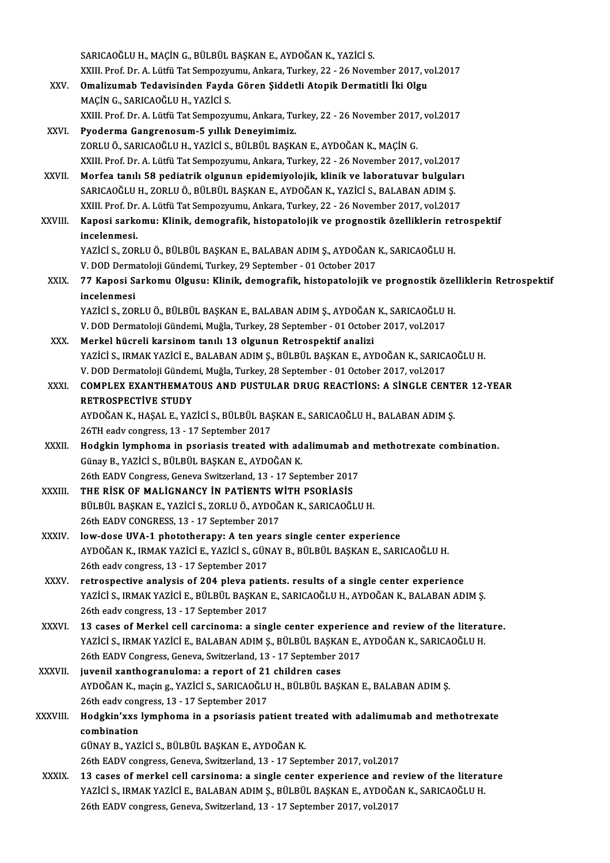|               | SARICAOĞLU H., MAÇİN G., BÜLBÜL BAŞKAN E., AYDOĞAN K., YAZİCİ S.                                                                                                                        |
|---------------|-----------------------------------------------------------------------------------------------------------------------------------------------------------------------------------------|
|               | XXIII. Prof. Dr. A. Lütfü Tat Sempozyumu, Ankara, Turkey, 22 - 26 November 2017, vol.2017                                                                                               |
| XXV.          | Omalizumab Tedavisinden Fayda Gören Şiddetli Atopik Dermatitli İki Olgu                                                                                                                 |
|               | MAÇİN G., SARICAOĞLU H., YAZİCİ S.                                                                                                                                                      |
|               | XXIII. Prof. Dr. A. Lütfü Tat Sempozyumu, Ankara, Turkey, 22 - 26 November 2017, vol.2017                                                                                               |
| XXVI.         | Pyoderma Gangrenosum-5 yıllık Deneyimimiz.                                                                                                                                              |
|               | ZORLU Ö., SARICAOĞLU H., YAZİCİ S., BÜLBÜL BAŞKAN E., AYDOĞAN K., MAÇİN G.                                                                                                              |
|               | XXIII. Prof. Dr. A. Lütfü Tat Sempozyumu, Ankara, Turkey, 22 - 26 November 2017, vol.2017                                                                                               |
| XXVII.        | Morfea tanılı 58 pediatrik olgunun epidemiyolojik, klinik ve laboratuvar bulguları                                                                                                      |
|               | SARICAOĞLU H., ZORLU Ö., BÜLBÜL BAŞKAN E., AYDOĞAN K., YAZİCİ S., BALABAN ADIM Ş.                                                                                                       |
|               | XXIII. Prof. Dr. A. Lütfü Tat Sempozyumu, Ankara, Turkey, 22 - 26 November 2017, vol.2017                                                                                               |
| <b>XXVIII</b> | Kaposi sarkomu: Klinik, demografik, histopatolojik ve prognostik özelliklerin retrospektif                                                                                              |
|               | incelenmesi.                                                                                                                                                                            |
|               | YAZİCİ S., ZORLU Ö., BÜLBÜL BAŞKAN E., BALABAN ADIM Ş., AYDOĞAN K., SARICAOĞLU H.                                                                                                       |
|               | V. DOD Dermatoloji Gündemi, Turkey, 29 September - 01 October 2017                                                                                                                      |
| XXIX.         | 77 Kaposi Sarkomu Olgusu: Klinik, demografik, histopatolojik ve prognostik özelliklerin Retrospektif                                                                                    |
|               | incelenmesi<br>YAZİCİ S., ZORLU Ö., BÜLBÜL BAŞKAN E., BALABAN ADIM Ş., AYDOĞAN K., SARICAOĞLU H.                                                                                        |
|               | V. DOD Dermatoloji Gündemi, Muğla, Turkey, 28 September - 01 October 2017, vol.2017                                                                                                     |
| XXX.          | Merkel hücreli karsinom tanılı 13 olgunun Retrospektif analizi                                                                                                                          |
|               | YAZİCİ S., IRMAK YAZİCİ E., BALABAN ADIM Ş., BÜLBÜL BAŞKAN E., AYDOĞAN K., SARICAOĞLU H.                                                                                                |
|               | V. DOD Dermatoloji Gündemi, Muğla, Turkey, 28 September - 01 October 2017, vol.2017                                                                                                     |
| XXXI.         | COMPLEX EXANTHEMATOUS AND PUSTULAR DRUG REACTIONS: A SINGLE CENTER 12-YEAR                                                                                                              |
|               | <b>RETROSPECTIVE STUDY</b>                                                                                                                                                              |
|               | AYDOĞAN K., HAŞAL E., YAZİCİ S., BÜLBÜL BAŞKAN E., SARICAOĞLU H., BALABAN ADIM Ş.                                                                                                       |
|               | 26TH eadv congress, 13 - 17 September 2017                                                                                                                                              |
| XXXII.        | Hodgkin lymphoma in psoriasis treated with adalimumab and methotrexate combination.                                                                                                     |
|               | Günay B., YAZİCİ S., BÜLBÜL BAŞKAN E., AYDOĞAN K.                                                                                                                                       |
|               | 26th EADV Congress, Geneva Switzerland, 13 - 17 September 2017                                                                                                                          |
| XXXIII.       | THE RISK OF MALIGNANCY IN PATIENTS WITH PSORIASIS                                                                                                                                       |
|               | BÜLBÜL BAŞKAN E., YAZİCİ S., ZORLU Ö., AYDOĞAN K., SARICAOĞLU H.                                                                                                                        |
|               | 26th EADV CONGRESS, 13 - 17 September 2017                                                                                                                                              |
| XXXIV.        | low-dose UVA-1 phototherapy: A ten years single center experience                                                                                                                       |
|               | AYDOĞAN K., IRMAK YAZİCİ E., YAZİCİ S., GÜNAY B., BÜLBÜL BAŞKAN E., SARICAOĞLU H.                                                                                                       |
|               | 26th eadv congress, 13 - 17 September 2017                                                                                                                                              |
| <b>XXXV</b>   | retrospective analysis of 204 pleva patients. results of a single center experience                                                                                                     |
|               | YAZİCİ S., IRMAK YAZİCİ E., BÜLBÜL BAŞKAN E., SARICAOĞLU H., AYDOĞAN K., BALABAN ADIM Ş.                                                                                                |
|               | 26th eadv congress, 13 - 17 September 2017                                                                                                                                              |
| XXXVI.        | 13 cases of Merkel cell carcinoma: a single center experience and review of the literature.<br>YAZİCİ S., IRMAK YAZİCİ E., BALABAN ADIM Ş., BÜLBÜL BAŞKAN E., AYDOĞAN K., SARICAOĞLU H. |
|               | 26th EADV Congress, Geneva, Switzerland, 13 - 17 September 2017                                                                                                                         |
| <b>XXXVII</b> | juvenil xanthogranuloma: a report of 21 children cases                                                                                                                                  |
|               | AYDOĞAN K., maçin g., YAZİCİ S., SARICAOĞLU H., BÜLBÜL BAŞKAN E., BALABAN ADIM Ş.                                                                                                       |
|               | 26th eadv congress, 13 - 17 September 2017                                                                                                                                              |
| XXXVIII.      | Hodgkin'xxs lymphoma in a psoriasis patient treated with adalimumab and methotrexate                                                                                                    |
|               | combination                                                                                                                                                                             |
|               | GÜNAY B., YAZİCİ S., BÜLBÜL BAŞKAN E., AYDOĞAN K.                                                                                                                                       |
|               | 26th EADV congress, Geneva, Switzerland, 13 - 17 September 2017, vol.2017                                                                                                               |
| <b>XXXIX</b>  | 13 cases of merkel cell carsinoma: a single center experience and review of the literature                                                                                              |
|               | YAZİCİ S., IRMAK YAZİCİ E., BALABAN ADIM Ş., BÜLBÜL BAŞKAN E., AYDOĞAN K., SARICAOĞLU H.                                                                                                |
|               | 26th EADV congress, Geneva, Switzerland, 13 - 17 September 2017, vol.2017                                                                                                               |
|               |                                                                                                                                                                                         |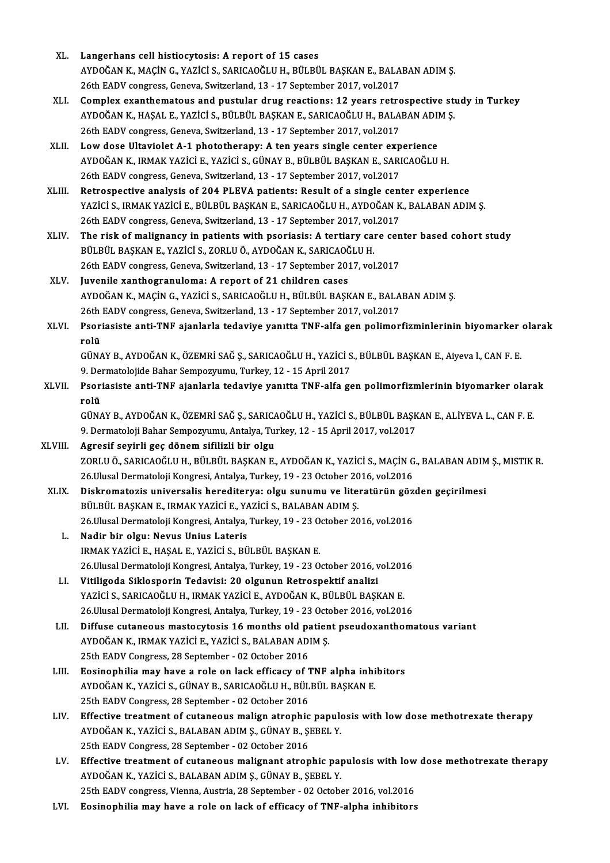- XL. Langerhans cell histiocytosis: A report of 15 cases Langerhans cell histiocytosis: A report of 15 cases<br>AYDOĞAN K., MAÇİN G., YAZİCİ S., SARICAOĞLU H., BÜLBÜL BAŞKAN E., BALABAN ADIM Ş.<br>26th FADV sengress Canave Suitrerland 12, 17 Sentember 2017, vel 2017 Langerhans cell histiocytosis: A report of 15 cases<br>AYDOĞAN K., MAÇİN G., YAZİCİ S., SARICAOĞLU H., BÜLBÜL BAŞKAN E., BALA<br>26th EADV congress, Geneva, Switzerland, 13 - 17 September 2017, vol.2017<br>Campley, evanthemateus an AYDOĞAN K., MAÇİN G., YAZİCİ S., SARICAOĞLU H., BÜLBÜL BAŞKAN E., BALABAN ADIM Ş.<br>26th EADV congress, Geneva, Switzerland, 13 - 17 September 2017, vol.2017<br>XLI. Complex exanthematous and pustular drug reactions: 12 years r
- 26th EADV congress, Geneva, Switzerland, 13 17 September 2017, vol.2017<br>Complex exanthematous and pustular drug reactions: 12 years retrospective str<br>AYDOĞAN K., HAŞAL E., YAZİCİ S., BÜLBÜL BAŞKAN E., SARICAOĞLU H., BALA Complex exanthematous and pustular drug reactions: 12 years retro<br>AYDOĞAN K., HAŞAL E., YAZİCİ S., BÜLBÜL BAŞKAN E., SARICAOĞLU H., BALA<br>26th EADV congress, Geneva, Switzerland, 13 - 17 September 2017, vol.2017<br>Law dasa Ul AYDOĞAN K., HAŞAL E., YAZİCİ S., BÜLBÜL BAŞKAN E., SARICAOĞLU H., BALABAN ADII<br>26th EADV congress, Geneva, Switzerland, 13 - 17 September 2017, vol.2017<br>XLII. Low dose Ultaviolet A-1 phototherapy: A ten years single center
- 26th EADV congress, Geneva, Switzerland, 13 17 September 2017, vol.2017<br>Low dose Ultaviolet A-1 phototherapy: A ten years single center experience<br>AYDOĞAN K., IRMAK YAZİCİ E., YAZİCİ S., GÜNAY B., BÜLBÜL BAŞKAN E., SARIC Low dose Ultaviolet A-1 phototherapy: A ten years single center exp<br>AYDOĞAN K., IRMAK YAZİCİ E., YAZİCİ S., GÜNAY B., BÜLBÜL BAŞKAN E., SARI<br>26th EADV congress, Geneva, Switzerland, 13 - 17 September 2017, vol.2017<br>Petresp AYDOĞAN K., IRMAK YAZİCİ E., YAZİCİ S., GÜNAY B., BÜLBÜL BAŞKAN E., SARICAOĞLU H.<br>26th EADV congress, Geneva, Switzerland, 13 - 17 September 2017, vol.2017<br>XLIII. Retrospective analysis of 204 PLEVA patients: Result of a s
- 26th EADV congress, Geneva, Switzerland, 13 17 September 2017, vol.2017<br>Retrospective analysis of 204 PLEVA patients: Result of a single center experience<br>YAZİCİ S., IRMAK YAZİCİ E., BÜLBÜL BAŞKAN E., SARICAOĞLU H., AYDO Retrospective analysis of 204 PLEVA patients: Result of a single centralistic S., IRMAK YAZICI E., BÜLBÜL BAŞKAN E., SARICAOĞLU H., AYDOĞAN K<br>26th EADV congress, Geneva, Switzerland, 13 - 17 September 2017, vol.2017<br>The ri YAZİCİ S., IRMAK YAZİCİ E., BÜLBÜL BAŞKAN E., SARICAOĞLU H., AYDOĞAN K., BALABAN ADIM Ş.<br>26th EADV congress, Geneva, Switzerland, 13 - 17 September 2017, vol.2017<br>XLIV. The risk of malignancy in patients with psoriasis
- BÜLBÜL BAŞKAN E., YAZİCİ S., ZORLU Ö., AYDOĞAN K., SARICAOĞLU H. 26th EADV congress, Geneva, Switzerland, 13 - 17 September 2017, vol.2017
- XLV. Juvenile xanthogranuloma: A report of 21 children cases 26th EADV congress, Geneva, Switzerland, 13 - 17 September 2017, vol.2017<br>Juvenile xanthogranuloma: A report of 21 children cases<br>AYDOĞAN K., MAÇİN G., YAZİCİ S., SARICAOĞLU H., BÜLBÜL BAŞKAN E., BALABAN ADIM Ş.<br>26th FADV Juvenile xanthogranuloma: A report of 21 children cases<br>AYDOĞAN K., MAÇİN G., YAZİCİ S., SARICAOĞLU H., BÜLBÜL BAŞKAN E., BALA<br>26th EADV congress, Geneva, Switzerland, 13 - 17 September 2017, vol.2017<br>Peoriosiste anti TNE AYDOĞAN K., MAÇİN G., YAZİCİ S., SARICAOĞLU H., BÜLBÜL BAŞKAN E., BALABAN ADIM Ş.<br>26th EADV congress, Geneva, Switzerland, 13 - 17 September 2017, vol.2017<br>XLVI. Psoriasiste anti-TNF ajanlarla tedaviye yanıtta TNF-alfa
- 26th<br>Psori<br>rolü<br>Cün*l* Psoriasiste anti-TNF ajanlarla tedaviye yanıtta TNF-alfa gen polimorfizminlerinin biyomarker<br>rolü<br>GÜNAY B., AYDOĞAN K., ÖZEMRİ SAĞ Ş., SARICAOĞLU H., YAZİCİ S., BÜLBÜL BAŞKAN E., Aiyeva l., CAN F. E.<br>9. Dermatelejide Babar

rolü<br>GÜNAY B., AYDOĞAN K., ÖZEMRİ SAĞ Ş., SARICAOĞLU H., YAZİCİ S., BÜLBÜL BAŞKAN E., Aiyeva l., CAN F. E.<br>9. Dermatolojide Bahar Sempozyumu, Turkey, 12 - 15 April 2017

GÜNAY B., AYDOĞAN K., ÖZEMRİ SAĞ Ş., SARICAOĞLU H., YAZİCİ S., BÜLBÜL BAŞKAN E., Aiyeva l., CAN F. E.<br>9. Dermatolojide Bahar Sempozyumu, Turkey, 12 - 15 April 2017<br>XLVII. Psoriasiste anti-TNF ajanlarla tedaviye yanıtta 9. Dei<br><mark>Psor</mark>i<br>rolü<br>cün*t* Psoriasiste anti-TNF ajanlarla tedaviye yanıtta TNF-alfa gen polimorfizmlerinin biyomarker olara<br>rolü<br>GÜNAY B., AYDOĞAN K., ÖZEMRİ SAĞ Ş., SARICAOĞLU H., YAZİCİ S., BÜLBÜL BAŞKAN E., ALİYEVA L., CAN F. E.<br>9. Dermateleji Ba

```
rolü<br>GÜNAY B., AYDOĞAN K., ÖZEMRİ SAĞ Ş., SARICAOĞLU H., YAZİCİ S., BÜLBÜL BAŞK<br>9. Dermatoloji Bahar Sempozyumu, Antalya, Turkey, 12 - 15 April 2017, vol.2017<br>Agresif sevirli geç dönem sifilizli bir elgu
GÜNAY B., AYDOĞAN K., ÖZEMRİ SAĞ Ş., SARICA<br>9. Dermatoloji Bahar Sempozyumu, Antalya, Tu<br>XLVIII.     Agresif seyirli geç dönem sifilizli bir olgu<br>70PLUÖ SARICAQĞLUH RÜLRÜL RASKAN E
```
- 9. Dermatoloji Bahar Sempozyumu, Antalya, Turkey, 12 15 April 2017, vol.2017<br><mark>Agresif seyirli geç dönem sifilizli bir olgu</mark><br>ZORLU Ö., SARICAOĞLU H., BÜLBÜL BAŞKAN E., AYDOĞAN K., YAZİCİ S., MAÇİN G., BALABAN ADIM Ş., MIS Agresif seyirli geç dönem sifilizli bir olgu<br>ZORLU Ö., SARICAOĞLU H., BÜLBÜL BAŞKAN E., AYDOĞAN K., YAZİCİ S., MAÇİN G<br>26.Ulusal Dermatoloji Kongresi, Antalya, Turkey, 19 - 23 October 2016, vol.2016<br>Diskromatoris universel XORLU Ö., SARICAOĞLU H., BÜLBÜL BAŞKAN E., AYDOĞAN K., YAZİCİ S., MAÇİN G., BALABAN ADIM<br>26.Ulusal Dermatoloji Kongresi, Antalya, Turkey, 19 - 23 October 2016, vol.2016<br>XLIX. Diskromatozis universalis herediterya: olgu
- 26.Ulusal Dermatoloji Kongresi, Antalya, Turkey, 19 23 October 2016, vol.2016<br>Diskromatozis universalis herediterya: olgu sunumu ve literatürün gözden geçirilmesi<br>BÜLBÜL BASKAN E., IRMAK YAZİCİ E., YAZİCİ S., BALABAN ADI Diskromatozis universalis herediterya: olgu sunumu ve literatürün göz<br>BÜLBÜL BAŞKAN E., IRMAK YAZİCİ E., YAZİCİ S., BALABAN ADIM Ş.<br>26.Ulusal Dermatoloji Kongresi, Antalya, Turkey, 19 - 23 October 2016, vol.2016<br>Nadin bir
	- L. Nadir bir olgu: Nevus Unius Lateris 26.Ulusal Dermatoloji Kongresi, Antalya, Turkey, 19 - 23 0<br>Nadir bir olgu: Nevus Unius Lateris<br>IRMAK YAZİCİ E., HAŞAL E., YAZİCİ S., BÜLBÜL BAŞKAN E.<br>26 Ulusal Dermatoloji Kongresi, Antalya Turkey, 10 - 22 0 Nadir bir olgu: Nevus Unius Lateris<br>IRMAK YAZİCİ E., HAŞAL E., YAZİCİ S., BÜLBÜL BAŞKAN E.<br>26.Ulusal Dermatoloji Kongresi, Antalya, Turkey, 19 - 23 October 2016, vol.2016<br>Vitilizadə Siklonnovin Tadavisi: 20 olgunun Batroan IRMAK YAZİCİ E., HAŞAL E., YAZİCİ S., BÜLBÜL BAŞKAN E.<br>26.Ulusal Dermatoloji Kongresi, Antalya, Turkey, 19 - 23 October 2016, v<br>LI. Vitiligoda Siklosporin Tedavisi: 20 olgunun Retrospektif analizi
	- 26.Ulusal Dermatoloji Kongresi, Antalya, Turkey, 19 23 October 2016, vol.201<br>Vitiligoda Siklosporin Tedavisi: 20 olgunun Retrospektif analizi<br>YAZİCİ S., SARICAOĞLU H., IRMAK YAZİCİ E., AYDOĞAN K., BÜLBÜL BAŞKAN E.<br>26 Ulu Vitiligoda Siklosporin Tedavisi: 20 olgunun Retrospektif analizi<br>YAZİCİ S., SARICAOĞLU H., IRMAK YAZİCİ E., AYDOĞAN K., BÜLBÜL BAŞKAN E.<br>26.Ulusal Dermatoloji Kongresi, Antalya, Turkey, 19 - 23 October 2016, vol.2016<br>Diffu YAZICI S., SARICAOĞLU H., IRMAK YAZICI E., AYDOĞAN K., BÜLBÜL BAŞKAN E.<br>26.Ulusal Dermatoloji Kongresi, Antalya, Turkey, 19 - 23 October 2016, vol.2016<br>LII. Diffuse cutaneous mastocytosis 16 months old patient pseudoxa
	- 26.Ulusal Dermatoloji Kongresi, Antalya, Turkey, 19 23 Octo<br>Diffuse cutaneous mastocytosis 16 months old patien<br>AYDOĞAN K., IRMAK YAZİCİ E., YAZİCİ S., BALABAN ADIM Ş. Diffuse cutaneous mastocytosis 16 months old pa<br>AYDOĞAN K., IRMAK YAZİCİ E., YAZİCİ S., BALABAN ADI<br>25th EADV Congress, 28 September - 02 October 2016<br>Eosinonbilis may have a rala an lask effisesy of 1 AYDOĞAN K., IRMAK YAZİCİ E., YAZİCİ S., BALABAN ADIM Ş.<br>25th EADV Congress, 28 September - 02 October 2016<br>LIII. Bosinophilia may have a role on lack efficacy of TNF alpha inhibitors<br>AYDOĞAN K. YAZİCİ S. CÜNAY B. SABICAOĞL
	- 25th EADV Congress, 28 September 02 October 2016<br>Eosinophilia may have a role on lack efficacy of TNF alpha inhi<br>AYDOĞAN K., YAZİCİ S., GÜNAY B., SARICAOĞLU H., BÜLBÜL BAŞKAN E.<br>25th EADV Congress, 28 September 03 Osto Eosinophilia may have a role on lack efficacy of 1<br>AYDOĞAN K., YAZİCİ S., GÜNAY B., SARICAOĞLU H., BÜL<br>25th EADV Congress, 28 September - 02 October 2016<br>Effective treatment of sutaneous malian atronbis
	- AYDOĞAN K., YAZİCİ S., GÜNAY B., SARICAOĞLU H., BÜLBÜL BAŞKAN E.<br>25th EADV Congress, 28 September 02 October 2016<br>LIV. Effective treatment of cutaneous malign atrophic papulosis with low dose methotrexate therapy<br>AVD 25th EADV Congress, 28 September - 02 October 2016<br>Effective treatment of cutaneous malign atrophic papulo<br>AYDOĞAN K., YAZİCİ S., BALABAN ADIM Ş., GÜNAY B., ŞEBEL Y.<br>25th EADV Congress, 29 September, 02 Osteber 2016 AYDOĞAN K., YAZİCİ S., BALABAN ADIM Ş., GÜNAY B., ŞEBEL Y.<br>25th EADV Congress, 28 September - 02 October 2016 AYDOĞAN K., YAZİCİ S., BALABAN ADIM Ş., GÜNAY B., ŞEBEL Y.<br>25th EADV Congress, 28 September - 02 October 2016<br>LV. Effective treatment of cutaneous malignant atrophic papulosis with low dose methotrexate therapy<br>AYDOĞAN K.
- 25th EADV Congress, 28 September 02 October 2016<br>Effective treatment of cutaneous malignant atrophic pap<br>AYDOĞAN K., YAZİCİ S., BALABAN ADIM Ş., GÜNAY B., ŞEBEL Y.<br>25th EADV sengress Vienne, Austria, 28 September 02 Os Effective treatment of cutaneous malignant atrophic papulosis with low<br>AYDOĞAN K., YAZİCİ S., BALABAN ADIM Ş., GÜNAY B., ŞEBEL Y.<br>25th EADV congress, Vienna, Austria, 28 September - 02 October 2016, vol.2016<br>Fosinonbilia m AYDOĞAN K., YAZİCİ S., BALABAN ADIM Ş., GÜNAY B., ŞEBEL Y.<br>25th EADV congress, Vienna, Austria, 28 September - 02 October 2016, vol.2016<br>LVI. Eosinophilia may have a role on lack of efficacy of TNF-alpha inhibitors
-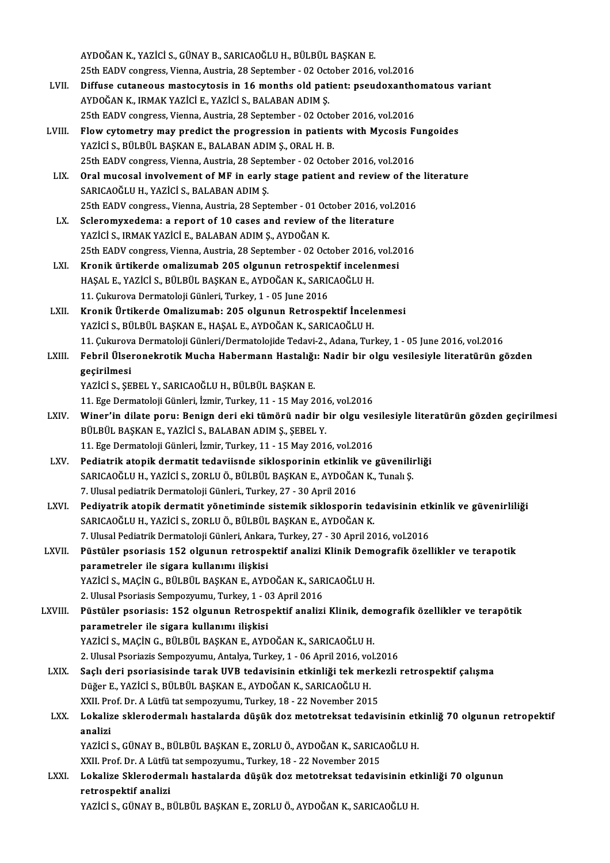AYDOĞAN K., YAZİCİ S., GÜNAY B., SARICAOĞLU H., BÜLBÜL BAŞKAN E. AYDOĞAN K., YAZİCİ S., GÜNAY B., SARICAOĞLU H., BÜLBÜL BAŞKAN E.<br>25th EADV congress, Vienna, Austria, 28 September - 02 October 2016, vol.2016<br>Diffuse autoneeus mastesytesis in 16 manths eld nationt: neeudevanths AYDOĞAN K., YAZİCİ S., GÜNAY B., SARICAOĞLU H., BÜLBÜL BAŞKAN E.<br>25th EADV congress, Vienna, Austria, 28 September - 02 October 2016, vol.2016<br>LVII. Diffuse cutaneous mastocytosis in 16 months old patient: pseudoxanthomato 25th EADV congress, Vienna, Austria, 28 September - 02 Oct<br>Diffuse cutaneous mastocytosis in 16 months old pat<br>AYDOĞAN K., IRMAK YAZİCİ E., YAZİCİ S., BALABAN ADIM Ş.<br>25th EADV sengress Vienna, Austria, 28 September - 02 O Diffuse cutaneous mastocytosis in 16 months old patient: pseudoxantho<br>AYDOĞAN K., IRMAK YAZİCİ E., YAZİCİ S., BALABAN ADIM Ş.<br>25th EADV congress, Vienna, Austria, 28 September - 02 October 2016, vol.2016<br>Flow sytemetry may AYDOĞAN K., IRMAK YAZİCİ E., YAZİCİ S., BALABAN ADIM Ş.<br>25th EADV congress, Vienna, Austria, 28 September - 02 October 2016, vol.2016<br>LVIII. Flow cytometry may predict the progression in patients with Mycosis Fungoides<br>VAZ 25th EADV congress, Vienna, Austria, 28 September - 02 October 2016, vol.2016<br>Flow cytometry may predict the progression in patients with Mycosis F<br>YAZİCİ S., BÜLBÜL BAŞKAN E., BALABAN ADIM Ş., ORAL H. B.<br>25th EADV congres Flow cytometry may predict the progression in patients with Mycosis F<br>YAZİCİ S., BÜLBÜL BAŞKAN E., BALABAN ADIM Ş., ORAL H. B.<br>25th EADV congress, Vienna, Austria, 28 September - 02 October 2016, vol.2016<br>Oral musesal invo YAZİCİ S., BÜLBÜL BAŞKAN E., BALABAN ADIM Ş., ORAL H. B.<br>25th EADV congress, Vienna, Austria, 28 September - 02 October 2016, vol.2016<br>LIX. Oral mucosal involvement of MF in early stage patient and review of the litera 25th EADV congress, Vienna, Austria, 28 Sept<br>Oral mucosal involvement of MF in early<br>SARICAOĞLU H., YAZİCİ S., BALABAN ADIM Ş. Oral mucosal involvement of MF in early stage patient and review of the<br>SARICAOĞLU H., YAZİCİ S., BALABAN ADIM Ş.<br>25th EADV congress., Vienna, Austria, 28 September - 01 October 2016, vol.2016<br>Seleremuvedama: a report of 1 SARICAOĞLU H., YAZİCİ S., BALABAN ADIM Ş.<br>25th EADV congress., Vienna, Austria, 28 September - 01 October 2016, vol.2016<br>LX. Scleromyxedema: a report of 10 cases and review of the literature YAZİCİ S., IRMAK YAZİCİ E., BALABAN ADIM Ş., AYDOĞAN K. Scleromyxedema: a report of 10 cases and review of the literature<br>YAZİCİ S., IRMAK YAZİCİ E., BALABAN ADIM Ş., AYDOĞAN K.<br>25th EADV congress, Vienna, Austria, 28 September - 02 October 2016, vol.2016<br>Knonik üntikanda amali LXI. Kronik ürtikerde omalizumab 205 olgunun retrospektif incelenmesi 25th EADV congress, Vienna, Austria, 28 September - 02 October 2016,<br>Kronik ürtikerde omalizumab 205 olgunun retrospektif inceler<br>HAŞAL E., YAZİCİ S., BÜLBÜL BAŞKAN E., AYDOĞAN K., SARICAOĞLU H.<br>11 Culuneve Dermeteleji Gün HAŞAL E., YAZİCİ S., BÜLBÜL BAŞKAN E., AYDOĞAN K., SARICAOĞLU H.<br>11. Çukurova Dermatoloji Günleri, Turkey, 1 - 05 June 2016 HAŞAL E., YAZİCİ S., BÜLBÜL BAŞKAN E., AYDOĞAN K., SARICAOĞLU H.<br>11. Çukurova Dermatoloji Günleri, Turkey, 1 - 05 June 2016<br>LXII. Kronik Ürtikerde Omalizumab: 205 olgunun Retrospektif İncelenmesi<br>YAZİCİ S. PÜLPÜL PASKAN E. 11. Çukurova Dermatoloji Günleri, Turkey, 1 - 05 June 2016<br>Kronik Ürtikerde Omalizumab: 205 olgunun Retrospektif İncele<br>YAZİCİ S., BÜLBÜL BAŞKAN E., HAŞAL E., AYDOĞAN K., SARICAOĞLU H.<br>11. Culuneva Dermateleji Günleri (Der 11. YAZİCİ S., BÜLBÜL BAŞKAN E., HAŞAL E., AYDOĞAN K., SARICAOĞLU H.<br>11. Çukurova Dermatoloji Günleri/Dermatolojide Tedavi-2., Adana, Turkey, 1 - 05 June 2016, vol.2016 LXIII. Febril Ülseronekrotik Mucha Habermann Hastalığı: Nadir bir olgu vesilesiyle literatürün gözden geçirilmesi YAZİCİ S., ŞEBEL Y., SARICAOĞLU H., BÜLBÜL BAŞKAN E. geçirilmesi<br>YAZİCİ S., ŞEBEL Y., SARICAOĞLU H., BÜLBÜL BAŞKAN E.<br>11. Ege Dermatoloji Günleri, İzmir, Turkey, 11 - 15 May 2016, vol.2016<br>Winer'in dilata naruy Banisn dari aki tümörü nadir bir alsu ve YAZİCİ S., ŞEBEL Y., SARICAOĞLU H., BÜLBÜL BAŞKAN E.<br>11. Ege Dermatoloji Günleri, İzmir, Turkey, 11 - 15 May 2016, vol.2016<br>2011 - LXIV. Winer'in dilate poru: Benign deri eki tümörü nadir bir olgu vesilesiyle literatürün g 11. Ege Dermatoloji Günleri, İzmir, Turkey, 11 - 15 May 201<br>Winer'in dilate poru: Benign deri eki tümörü nadir b<br>BÜLBÜL BAŞKAN E., YAZİCİ S., BALABAN ADIM Ş., ŞEBEL Y.<br>11. Ege Dermatoloji Günleri, İsmir, Turkey, 11., 15 Me Winer'in dilate poru: Benign deri eki tümörü nadir bir olgu ves<br>BÜLBÜL BAŞKAN E., YAZİCİ S., BALABAN ADIM Ş., ŞEBEL Y.<br>11. Ege Dermatoloji Günleri, İzmir, Turkey, 11 - 15 May 2016, vol.2016<br>Bediatrik atapik dermatit tadəyi BÜLBÜL BAŞKAN E., YAZİCİ S., BALABAN ADIM Ş., ŞEBEL Y.<br>11. Ege Dermatoloji Günleri, İzmir, Turkey, 11 - 15 May 2016, vol.2016<br>LXV. Pediatrik atopik dermatit tedaviisnde siklosporinin etkinlik ve güvenilirliği 11. Ege Dermatoloji Günleri, İzmir, Turkey, 11 - 15 May 2016, vol.2016<br>Pediatrik atopik dermatit tedaviisnde siklosporinin etkinlik ve güvenilii<br>SARICAOĞLU H., YAZİCİ S., ZORLU Ö., BÜLBÜL BAŞKAN E., AYDOĞAN K., Tunalı Ş.<br>7 Pediatrik atopik dermatit tedaviisnde siklosporinin etkinlik<br>SARICAOĞLU H., YAZİCİ S., ZORLU Ö., BÜLBÜL BAŞKAN E., AYDOĞA<br>7. Ulusal pediatrik Dermatoloji Günleri., Turkey, 27 - 30 April 2016<br>Pediyatrik atopik dermatit yöne 7. Ulusal pediatrik Dermatoloji Günleri., Turkey, 27 - 30 April 2016<br>LXVI. Pediyatrik atopik dermatit yönetiminde sistemik siklosporin tedavisinin etkinlik ve güvenirliliği SARICAOĞLU H., YAZİCİ S., ZORLU Ö., BÜLBÜL BAŞKAN E., AYDOĞAN K. 7. Ulusal Pediatrik Dermatoloji Günleri, Ankara, Turkey, 27 - 30 April 2016, vol.2016 SARICAOĞLU H., YAZİCİ S., ZORLU Ö., BÜLBÜL BAŞKAN E., AYDOĞAN K.<br>7. Ulusal Pediatrik Dermatoloji Günleri, Ankara, Turkey, 27 - 30 April 2016, vol.2016<br>1. LXVII. Püstüler psoriasis 152 olgunun retrospektif analizi Klinik De parametreler ile sigara kullanımı ilişkisi Püstüler psoriasis 152 olgunun retrospektif analizi Klinik Dem<br>parametreler ile sigara kullanımı ilişkisi<br>YAZİCİ S., MAÇİN G., BÜLBÜL BAŞKAN E., AYDOĞAN K., SARICAOĞLU H.<br>2 Hlusel Peerissis Semperuumu Turkey 1, 03 April 20 YAZİCİ S., MAÇİN G., BÜLBÜL BAŞKAN E., AYDOĞAN K., SARICAOĞLU H.<br>2. Ulusal Psoriasis Sempozyumu, Turkey, 1 - 03 April 2016 YAZİCİ S., MAÇİN G., BÜLBÜL BAŞKAN E., AYDOĞAN K., SARICAOĞLU H.<br>2. Ulusal Psoriasis: Sempozyumu, Turkey, 1 - 03 April 2016<br>LXVIII. Püstüler psoriasis: 152 olgunun Retrospektif analizi Klinik, demografik özellikler ve 2. Ulusal Psoriasis Sempozyumu, Turkey, 1 - 0<br>Püstüler psoriasis: 152 olgunun Retrosp<br>parametreler ile sigara kullanımı ilişkisi<br>VAZİÇİ S. MAÇİN G. PÜL PÜL PASKAN E. AVD Püstüler psoriasis: 152 olgunun Retrospektif analizi Klinik, der<br>parametreler ile sigara kullanımı ilişkisi<br>YAZİCİ S., MAÇİN G., BÜLBÜL BAŞKAN E., AYDOĞAN K., SARICAOĞLU H.<br>2 Hlusel Beeriazis Semnezzumu Antalya Turkey 1 parametreler ile sigara kullanımı ilişkisi<br>YAZİCİ S., MAÇİN G., BÜLBÜL BAŞKAN E., AYDOĞAN K., SARICAOĞLU H.<br>2. Ulusal Psoriazis Sempozyumu, Antalya, Turkey, 1 - 06 April 2016, vol.2016<br>Saalı dari psoriasisinde tarek UVB te YAZİCİ S., MAÇİN G., BÜLBÜL BAŞKAN E., AYDOĞAN K., SARICAOĞLU H.<br>2. Ulusal Psoriazis Sempozyumu, Antalya, Turkey, 1 - 06 April 2016, vol.2016<br>2. LXIX. Saçlı deri psoriasisinde tarak UVB tedavisinin etkinliği tek merkezli r 2. Ulusal Psoriazis Sempozyumu, Antalya, Turkey, 1 - 06 April 2016, vo<br>Saçlı deri psoriasisinde tarak UVB tedavisinin etkinliği tek mer<br>Düğer E., YAZİCİ S., BÜLBÜL BAŞKAN E., AYDOĞAN K., SARICAOĞLU H.<br>YYU Prof. Dr. A Lütfü Saçlı deri psoriasisinde tarak UVB tedavisinin etkinliği tek merk<br>Düğer E., YAZİCİ S., BÜLBÜL BAŞKAN E., AYDOĞAN K., SARICAOĞLU H.<br>XXII. Prof. Dr. A Lütfü tat sempozyumu, Turkey, 18 - 22 November 2015<br>Leksline aklanedermal Düğer E., YAZİCİ S., BÜLBÜL BAŞKAN E., AYDOĞAN K., SARICAOĞLU H.<br>XXII. Prof. Dr. A Lütfü tat sempozyumu, Turkey, 18 - 22 November 2015<br>LXX. Lokalize sklerodermalı hastalarda düşük doz metotreksat tedavisinin etkinliğ 7 XXII. Prof. Dr. A Lütfü tat sempozyumu, Turkey, 18 - 22 November 2015 YAZİCİ S., GÜNAY B., BÜLBÜL BAŞKAN E., ZORLU Ö., AYDOĞAN K., SARICAOĞLU H. <mark>analizi</mark><br>YAZİCİ S., GÜNAY B., BÜLBÜL BAŞKAN E., ZORLU Ö., AYDOĞAN K., SARICA<br>XXII. Prof. Dr. A Lütfü tat sempozyumu., Turkey, 18 - 22 November 2015<br>Lakalire Sklanadermalı hastalarda düşük dan metatrakast tadayi LXXI. Lokalize Sklerodermalı hastalarda düşük dozmetotreksat tedavisinin etkinliği 70 olgunun XXII. Prof. Dr. A Lütfü<br><mark>Lokalize Skleroderr</mark><br>retrospektif analizi<br><sup>VAZICI S. CÜNAV B. B</sub></sup> YAZİCİ S., GÜNAY B., BÜLBÜL BAŞKAN E., ZORLU Ö., AYDOĞAN K., SARICAOĞLU H.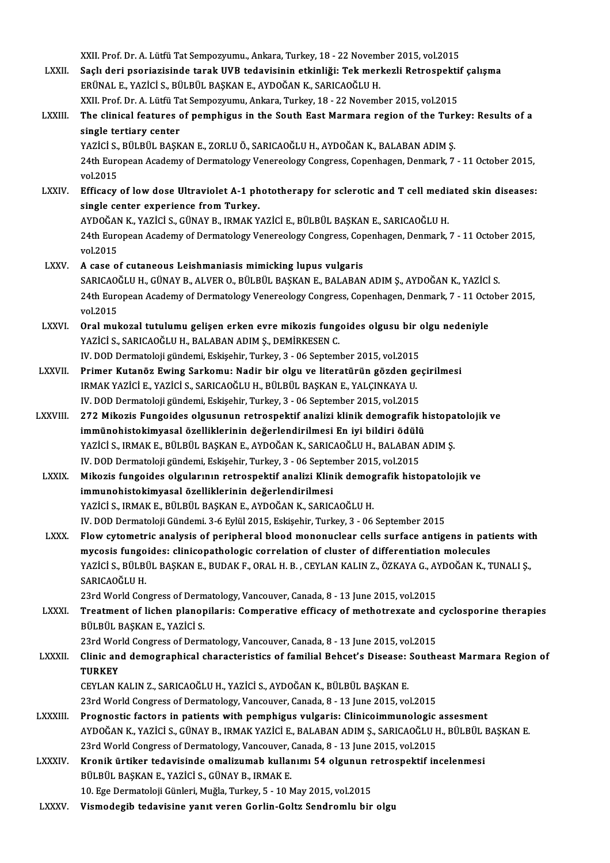- XXII. Prof. Dr. A. Lütfü Tat Sempozyumu., Ankara, Turkey, 18 22 November 2015, vol.2015 XXII. Prof. Dr. A. Lütfü Tat Sempozyumu., Ankara, Turkey, 18 - 22 November 2015, vol.2015<br>LXXII. Saçlı deri psoriazisinde tarak UVB tedavisinin etkinliği: Tek merkezli Retrospektif çalışma<br>FRÜNALE YAZİÇİ S PÜLPÜL PAS XXII. Prof. Dr. A. Lütfü Tat Sempozyumu., Ankara, Turkey, 18 - 22 Novem<br>Saçlı deri psoriazisinde tarak UVB tedavisinin etkinliği: Tek merl<br>ERÜNAL E., YAZİCİ S., BÜLBÜL BAŞKAN E., AYDOĞAN K., SARICAOĞLU H.<br>YYU Prof. Dr. A. Saçlı deri psoriazisinde tarak UVB tedavisinin etkinliği: Tek merkezli Retrospekti<br>ERÜNAL E., YAZİCİ S., BÜLBÜL BAŞKAN E., AYDOĞAN K., SARICAOĞLU H.<br>XXII. Prof. Dr. A. Lütfü Tat Sempozyumu, Ankara, Turkey, 18 - 22 November ERÜNAL E., YAZİCİ S., BÜLBÜL BAŞKAN E., AYDOĞAN K., SARICAOĞLU H.<br>XXII. Prof. Dr. A. Lütfü Tat Sempozyumu, Ankara, Turkey, 18 - 22 November 2015, vol.2015<br>LXXIII. The clinical features of pemphigus in the South East Ma XXII. Prof. Dr. A. Lütfü Tat Sempozyumu, Ankara, Turkey, 18 - 22 November 2015, vol.2015 The clinical features of pemphigus in the South East Marmara region of the Turl<br>single tertiary center<br>YAZİCİ S., BÜLBÜL BAŞKAN E., ZORLU Ö., SARICAOĞLU H., AYDOĞAN K., BALABAN ADIM Ş.<br>24th European Asedemy of Dermatelegy single tertiary center<br>YAZİCİ S., BÜLBÜL BAŞKAN E., ZORLU Ö., SARICAOĞLU H., AYDOĞAN K., BALABAN ADIM Ş.<br>24th European Academy of Dermatology Venereology Congress, Copenhagen, Denmark, 7 - 11 October 2015,<br>vol 2015 YAZİCİ S.,<br>24th Euro<br>vol.2015<br>Efficacy 24th European Academy of Dermatology Venereology Congress, Copenhagen, Denmark, 7 - 11 October 2015,<br>vol.2015<br>LXXIV. Efficacy of low dose Ultraviolet A-1 phototherapy for sclerotic and T cell mediated skin diseases:<br>single vol.2015<br>Efficacy of low dose Ultraviolet A-1 ph<br>single center experience from Turkey.<br>AYDOČAN K. XAZICI S. GÜNAY P. IBMAK V Efficacy of low dose Ultraviolet A-1 phototherapy for sclerotic and T cell media<br>single center experience from Turkey.<br>AYDOĞAN K., YAZİCİ S., GÜNAY B., IRMAK YAZİCİ E., BÜLBÜL BAŞKAN E., SARICAOĞLU H.<br>24th European Asedemy single center experience from Turkey.<br>AYDOĞAN K., YAZİCİ S., GÜNAY B., IRMAK YAZİCİ E., BÜLBÜL BAŞKAN E., SARICAOĞLU H.<br>24th European Academy of Dermatology Venereology Congress, Copenhagen, Denmark, 7 - 11 October 2015,<br>v AYDOĞAN<br>24th Euro<br>vol.2015 vol.2015<br>LXXV. A case of cutaneous Leishmaniasis mimicking lupus vulgaris vol.2015<br>A case of cutaneous Leishmaniasis mimicking lupus vulgaris<br>SARICAOĞLU H., GÜNAY B., ALVER O., BÜLBÜL BAŞKAN E., BALABAN ADIM Ş., AYDOĞAN K., YAZİCİ S.<br>24th European Assdamu of Darmatalası: Vanaraalası: Cansusse Ca 24th European Academy of Dermatology Venereology Congress, Copenhagen, Denmark, 7 - 11 October 2015, vol.2015 SARICAO<br>24th Euro<br>vol.2015<br>Oral mul 24th European Academy of Dermatology Venereology Congress, Copenhagen, Denmark, 7 - 11 Octombry 24th European Academy of Dermatology Venereology Congress, Copenhagen, Denmark, 7 - 11 Octombry 2012.<br>LXXVI. Oral mukozal tutu vol.2015<br>Oral mukozal tutulumu gelişen erken evre mikozis fung<br>YAZİCİ S., SARICAOĞLU H., BALABAN ADIM Ş., DEMİRKESEN C.<br>IV. DOD Dermateleji gündemi Eskişebir Turkey 3 - 06 Sentemi Oral mukozal tutulumu gelişen erken evre mikozis fungoides olgusu bir oldu.<br>YAZİCİ S., SARICAOĞLU H., BALABAN ADIM Ş., DEMİRKESEN C.<br>IV. DOD Dermatoloji gündemi, Eskişehir, Turkey, 3 - 06 September 2015, vol.2015<br>Primer Ku YAZİCİ S., SARICAOĞLU H., BALABAN ADIM Ş., DEMİRKESEN C.<br>IV. DOD Dermatoloji gündemi, Eskişehir, Turkey, 3 - 06 September 2015, vol.2015<br>LXXVII. Primer Kutanöz Ewing Sarkomu: Nadir bir olgu ve literatürün gözden geçiri IV. DOD Dermatoloji gündemi, Eskişehir, Turkey, 3 - 06 September 2015, vol.2015<br>Primer Kutanöz Ewing Sarkomu: Nadir bir olgu ve literatürün gözden ge<br>IRMAK YAZİCİ E., YAZİCİ S., SARICAOĞLU H., BÜLBÜL BAŞKAN E., YALÇINKAYA Primer Kutanöz Ewing Sarkomu: Nadir bir olgu ve literatürün gözden ge<br>IRMAK YAZİCİ E., YAZİCİ S., SARICAOĞLU H., BÜLBÜL BAŞKAN E., YALÇINKAYA U.<br>IV. DOD Dermatoloji gündemi, Eskişehir, Turkey, 3 - 06 September 2015, vol.20 IRMAK YAZİCİ E., YAZİCİ S., SARICAOĞLU H., BÜLBÜL BAŞKAN E., YALÇINKAYA U.<br>IV. DOD Dermatoloji gündemi, Eskişehir, Turkey, 3 - 06 September 2015, vol.2015<br>LXXVIII. 272 Mikozis Fungoides olgusunun retrospektif analizi klini IV. DOD Dermatoloji gündemi, Eskişehir, Turkey, 3 - 06 September 2015, vol.2015<br>272 Mikozis Fungoides olgusunun retrospektif analizi klinik demografik histopa<br>immünohistokimyasal özelliklerinin değerlendirilmesi En iyi bil 272 Mikozis Fungoides olgusunun retrospektif analizi klinik demografik histopa<br>immünohistokimyasal özelliklerinin değerlendirilmesi En iyi bildiri ödülü<br>YAZİCİ S., IRMAK E., BÜLBÜL BAŞKAN E., AYDOĞAN K., SARICAOĞLU H., BAL immünohistokimyasal özelliklerinin değerlendirilmesi En iyi bildiri ödülü<br>YAZİCİ S., IRMAK E., BÜLBÜL BAŞKAN E., AYDOĞAN K., SARICAOĞLU H., BALABAN 4<br>IV. DOD Dermatoloji gündemi, Eskişehir, Turkey, 3 - 06 September 2015, v YAZİCİ S., IRMAK E., BÜLBÜL BAŞKAN E., AYDOĞAN K., SARICAOĞLU H., BALABAN ADIM Ş.<br>IV. DOD Dermatoloji gündemi, Eskişehir, Turkey, 3 - 06 September 2015, vol.2015<br>LXXIX. Mikozis fungoides olgularının retrospektif analizi Kl IV. DOD Dermatoloji gündemi, Eskişehir, Turkey, 3 - 06 Septer<br>Mikozis fungoides olgularının retrospektif analizi Klin<br>immunohistokimyasal özelliklerinin değerlendirilmesi<br>YAZİÇİ S. IRMAK E. RÜLRÜL RASKAN E. AYDOĞAN K. SARI Mikozis fungoides olgularının retrospektif analizi Klinik demog<br>immunohistokimyasal özelliklerinin değerlendirilmesi<br>YAZİCİ S., IRMAK E., BÜLBÜL BAŞKAN E., AYDOĞAN K., SARICAOĞLU H.<br>IV. DOD Dermetaleji Gündemi 2,6 Erlül 20 immunohistokimyasal özelliklerinin değerlendirilmesi<br>1997-YAZİCİ S., IRMAK E., BÜLBÜL BAŞKAN E., AYDOĞAN K., SARICAOĞLU H.<br>1998-Y. DOD Dermatoloji Gündemi. 3-6 Eylül 2015, Eskişehir, Turkey, 3 - 06 September 2015 YAZICI S., IRMAK E., BÜLBÜL BAŞKAN E., AYDOĞAN K., SARICAOĞLU H.<br>IV. DOD Dermatoloji Gündemi. 3-6 Eylül 2015, Eskişehir, Turkey, 3 - 06 September 2015<br>LXXX. Flow cytometric analysis of peripheral blood mononuclear cells su IV. DOD Dermatoloji Gündemi. 3-6 Eylül 2015, Eskişehir, Turkey, 3 - 06 September 2015<br>Flow cytometric analysis of peripheral blood mononuclear cells surface antigens in pat<br>mycosis fungoides: clinicopathologic correlation Flow cytometric analysis of peripheral blood mononuclear cells surface antigens in patients wit<br>mycosis fungoides: clinicopathologic correlation of cluster of differentiation molecules<br>YAZİCİ S., BÜLBÜL BAŞKAN E., BUDAK F. mycosis fungo<br>YAZİCİ S., BÜLBI<br>SARICAOĞLU H.<br>22rd Warld Can YAZİCİ S., BÜLBÜL BAŞKAN E., BUDAK F., ORAL H. B. , CEYLAN KALIN Z., ÖZKAYA G., AY<br>SARICAOĞLU H.<br>23rd World Congress of Dermatology, Vancouver, Canada, 8 - 13 June 2015, vol.2015<br>Treatment of lisben planenilaris: Comporati SARICAOĞLU H.<br>23rd World Congress of Dermatology, Vancouver, Canada, 8 - 13 June 2015, vol.2015<br>23rd World Congress of Dermatology, Vancouver, Canada, 8 - 13 June 2015, vol.2015<br>2011 PIL PASKAN E, VAZICI S 23rd World Congress of Derm<br>Treatment of lichen planop<br>BÜLBÜL BAŞKAN E., YAZİCİ S.<br>22rd World Congress of Derm Treatment of lichen planopilaris: Comperative efficacy of methotrexate and<br>BÜLBÜL BAŞKAN E., YAZİCİ S.<br>23rd World Congress of Dermatology, Vancouver, Canada, 8 - 13 June 2015, vol.2015<br>Clinis and demographical sharasterist BÜLBÜL BAŞKAN E., YAZİCİ S.<br>23rd World Congress of Dermatology, Vancouver, Canada, 8 - 13 June 2015, vol.2015<br>LXXXII. Clinic and demographical characteristics of familial Behcet's Disease: Southeast Marmara Region of<br>T 23rd Wor<br>Clinic an<br>TURKEY<br>CEVLAN B Clinic and demographical characteristics of familial Behcet's Disease:<br>TURKEY<br>CEYLAN KALIN Z., SARICAOĞLU H., YAZİCİ S., AYDOĞAN K., BÜLBÜL BAŞKAN E.<br>22rd World Congress of Dermatelogy Venseyyer Canada 8, 12 June 2015, yo TURKEY<br>CEYLAN KALIN Z., SARICAOĞLU H., YAZİCİ S., AYDOĞAN K., BÜLBÜL BAŞKAN E.<br>23rd World Congress of Dermatology, Vancouver, Canada, 8 - 13 June 2015, vol.2015 CEYLAN KALIN Z., SARICAOĞLU H., YAZİCİ S., AYDOĞAN K., BÜLBÜL BAŞKAN E.<br>23rd World Congress of Dermatology, Vancouver, Canada, 8 - 13 June 2015, vol.2015<br>23rd World Congress in patients with pemphigus vulgaris: Clinicoimmu AYDOĞAN K., YAZİCİ S., GÜNAY B., IRMAK YAZİCİ E., BALABAN ADIM Ş., SARICAOĞLU H., BÜLBÜL BAŞKAN E.<br>23rd World Congress of Dermatology, Vancouver, Canada, 8 - 13 June 2015, vol.2015 Prognostic factors in patients with pemphigus vulgaris: Clinicoimmunologic<br>AYDOĞAN K., YAZİCİ S., GÜNAY B., IRMAK YAZİCİ E., BALABAN ADIM Ş., SARICAOĞLU I<br>23rd World Congress of Dermatology, Vancouver, Canada, 8 - 13 June AYDOĞAN K., YAZİCİ S., GÜNAY B., IRMAK YAZİCİ E., BALABAN ADIM Ş., SARICAOĞLU H., BÜLBÜL I<br>23rd World Congress of Dermatology, Vancouver, Canada, 8 - 13 June 2015, vol.2015<br>LXXXIV. Kronik ürtiker tedavisinde omalizumab kul 23rd World Congress of Dermatology, Vancouver, Consideration Consideration Consideration BÜLBÜLBAŞKAN E., YAZİCİ S., GÜNAY B., IRMAKE.<br>BÜLBÜL BAŞKAN E., YAZİCİ S., GÜNAY B., IRMAKE. Kronik ürtiker tedavisinde omalizumab kullanımı 54 olgunun r<br>BÜLBÜL BAŞKAN E., YAZİCİ S., GÜNAY B., IRMAK E.<br>10. Ege Dermatoloji Günleri, Muğla, Turkey, 5 - 10 May 2015, vol.2015<br>Viamodosih tedavisine vanıt venen Gorlin Go BÜLBÜL BAŞKAN E., YAZİCİ S., GÜNAY B., IRMAK E.<br>10. Ege Dermatoloji Günleri, Muğla, Turkey, 5 - 10 May 2015, vol.2015<br>LXXXV. Vismodegib tedavisine yanıt veren Gorlin-Goltz Sendromlu bir olgu
-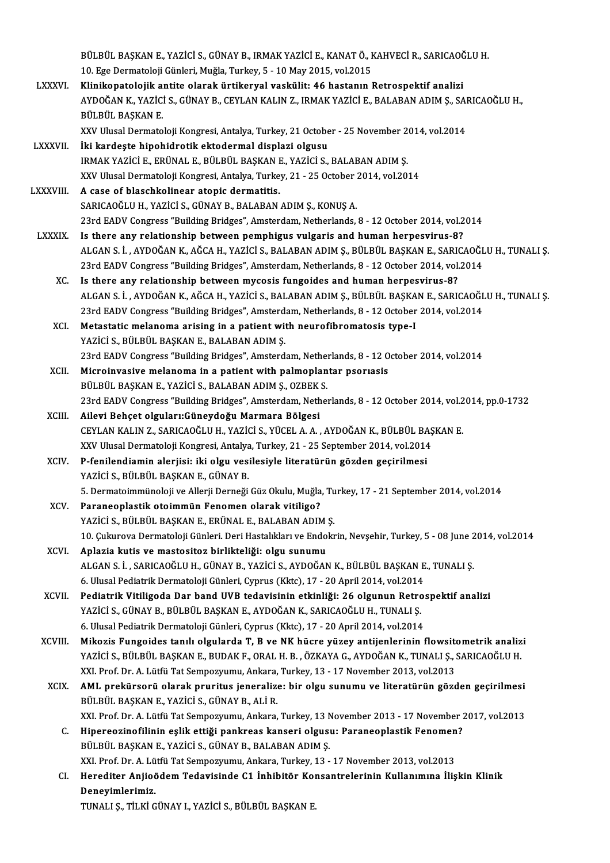|                 | BÜLBÜL BAŞKAN E., YAZİCİ S., GÜNAY B., IRMAK YAZİCİ E., KANAT Ö., KAHVECİ R., SARICAOĞLU H.                   |
|-----------------|---------------------------------------------------------------------------------------------------------------|
|                 | 10. Ege Dermatoloji Günleri, Muğla, Turkey, 5 - 10 May 2015, vol.2015                                         |
| <b>LXXXVI</b> . | Klinikopatolojik antite olarak ürtikeryal vaskülit: 46 hastanın Retrospektif analizi                          |
|                 | AYDOĞAN K., YAZİCİ S., GÜNAY B., CEYLAN KALIN Z., IRMAK YAZİCİ E., BALABAN ADIM Ş., SARICAOĞLU H.,            |
|                 | BÜLBÜL BAŞKAN E.                                                                                              |
|                 | XXV Ulusal Dermatoloji Kongresi, Antalya, Turkey, 21 October - 25 November 2014, vol.2014                     |
| LXXXVII.        | İki kardeşte hipohidrotik ektodermal displazi olgusu                                                          |
|                 | IRMAK YAZİCİ E., ERÜNAL E., BÜLBÜL BAŞKAN E., YAZİCİ S., BALABAN ADIM Ş.                                      |
|                 | XXV Ulusal Dermatoloji Kongresi, Antalya, Turkey, 21 - 25 October 2014, vol.2014                              |
| LXXXVIII.       | A case of blaschkolinear atopic dermatitis.                                                                   |
|                 | SARICAOĞLU H., YAZİCİ S., GÜNAY B., BALABAN ADIM Ş., KONUŞ A.                                                 |
|                 | 23rd EADV Congress "Building Bridges", Amsterdam, Netherlands, 8 - 12 October 2014, vol.2014                  |
| <b>LXXXIX</b>   | Is there any relationship between pemphigus vulgaris and human herpesvirus-8?                                 |
|                 | ALGAN S. İ. , AYDOĞAN K., AĞCA H., YAZİCİ S., BALABAN ADIM Ş., BÜLBÜL BAŞKAN E., SARICAOĞLU H., TUNALI Ş.     |
|                 | 23rd EADV Congress "Building Bridges", Amsterdam, Netherlands, 8 - 12 October 2014, vol.2014                  |
| XC.             | Is there any relationship between mycosis fungoides and human herpesvirus-8?                                  |
|                 | ALGAN S. İ. , AYDOĞAN K., AĞCA H., YAZİCİ S., BALABAN ADIM Ş., BÜLBÜL BAŞKAN E., SARICAOĞLU H., TUNALI Ş.     |
|                 | 23rd EADV Congress "Building Bridges", Amsterdam, Netherlands, 8 - 12 October 2014, vol.2014                  |
| XCI.            | Metastatic melanoma arising in a patient with neurofibromatosis type-I                                        |
|                 | YAZİCİ S., BÜLBÜL BAŞKAN E., BALABAN ADIM Ş.                                                                  |
|                 | 23rd EADV Congress "Building Bridges", Amsterdam, Netherlands, 8 - 12 October 2014, vol.2014                  |
| XCII.           | Microinvasive melanoma in a patient with palmoplantar psoriasis                                               |
|                 | BÜLBÜL BAŞKAN E., YAZİCİ S., BALABAN ADIM Ş., OZBEK S.                                                        |
|                 | 23rd EADV Congress "Building Bridges", Amsterdam, Netherlands, 8 - 12 October 2014, vol.2014, pp.0-1732       |
| XCIII.          | Ailevi Behçet olguları: Güneydoğu Marmara Bölgesi                                                             |
|                 | CEYLAN KALIN Z., SARICAOĞLU H., YAZİCİ S., YÜCEL A. A., AYDOĞAN K., BÜLBÜL BAŞKAN E.                          |
|                 | XXV Ulusal Dermatoloji Kongresi, Antalya, Turkey, 21 - 25 September 2014, vol.2014                            |
| <b>XCIV</b>     | P-fenilendiamin alerjisi: iki olgu vesilesiyle literatürün gözden geçirilmesi                                 |
|                 | YAZİCİ S. BÜLBÜL BASKAN E. GÜNAY B.                                                                           |
|                 | 5. Dermatoimmünoloji ve Allerji Derneği Güz Okulu, Muğla, Turkey, 17 - 21 September 2014, vol.2014            |
| XCV.            | Paraneoplastik otoimmün Fenomen olarak vitiligo?                                                              |
|                 | YAZİCİ S., BÜLBÜL BAŞKAN E., ERÜNAL E., BALABAN ADIM Ş.                                                       |
|                 | 10. Çukurova Dermatoloji Günleri. Deri Hastalıkları ve Endokrin, Nevşehir, Turkey, 5 - 08 June 2014, vol.2014 |
| XCVI.           | Aplazia kutis ve mastositoz birlikteliği: olgu sunumu                                                         |
|                 | ALGAN S. İ. , SARICAOĞLU H., GÜNAY B., YAZİCİ S., AYDOĞAN K., BÜLBÜL BAŞKAN E., TUNALI Ş.                     |
|                 | 6. Ulusal Pediatrik Dermatoloji Günleri, Cyprus (Kktc), 17 - 20 April 2014, vol.2014                          |
| XCVII.          | Pediatrik Vitiligoda Dar band UVB tedavisinin etkinliği: 26 olgunun Retrospektif analizi                      |
|                 | YAZİCİ S., GÜNAY B., BÜLBÜL BAŞKAN E., AYDOĞAN K., SARICAOĞLU H., TUNALI Ş.                                   |
|                 | 6. Ulusal Pediatrik Dermatoloji Günleri, Cyprus (Kktc), 17 - 20 April 2014, vol.2014                          |
| XCVIII.         | Mikozis Fungoides tanılı olgularda T, B ve NK hücre yüzey antijenlerinin flowsitometrik analizi               |
|                 | YAZİCİ S., BÜLBÜL BAŞKAN E., BUDAK F., ORAL H. B., ÖZKAYA G., AYDOĞAN K., TUNALI Ş., SARICAOĞLU H.            |
|                 | XXI. Prof. Dr. A. Lütfü Tat Sempozyumu, Ankara, Turkey, 13 - 17 November 2013, vol.2013                       |
| <b>XCIX</b>     | AML prekürsorü olarak pruritus jeneralize: bir olgu sunumu ve literatürün gözden geçirilmesi                  |
|                 | BÜLBÜL BAŞKAN E., YAZİCİ S., GÜNAY B., ALİ R.                                                                 |
|                 | XXI. Prof. Dr. A. Lütfü Tat Sempozyumu, Ankara, Turkey, 13 November 2013 - 17 November 2017, vol.2013         |
| c.              | Hipereozinofilinin eşlik ettiği pankreas kanseri olgusu: Paraneoplastik Fenomen?                              |
|                 | BÜLBÜL BAŞKAN E., YAZİCİ S., GÜNAY B., BALABAN ADIM Ş.                                                        |
|                 | XXI. Prof. Dr. A. Lütfü Tat Sempozyumu, Ankara, Turkey, 13 - 17 November 2013, vol.2013                       |
| CI.             | Herediter Anjioödem Tedavisinde C1 İnhibitör Konsantrelerinin Kullanımına İlişkin Klinik                      |
|                 | Deneyimlerimiz.                                                                                               |
|                 | TUNALI Ş., TİLKİ GÜNAY I., YAZİCİ S., BÜLBÜL BAŞKAN E.                                                        |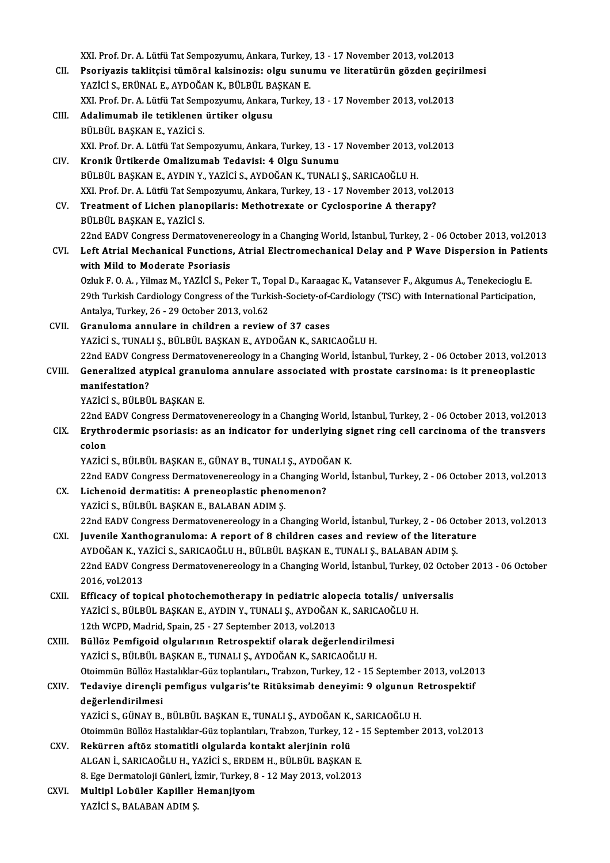XXI. Prof. Dr. A. Lütfü Tat Sempozyumu, Ankara, Turkey, 13 - 17 November 2013, vol.2013<br>Peonivaria taklitajai tümönal kaleinegia: olan sunumu ve literatürün görden gesir XXI. Prof. Dr. A. Lütfü Tat Sempozyumu, Ankara, Turkey, 13 - 17 November 2013, vol.2013<br>CII. Psoriyazis taklitçisi tümöral kalsinozis: olgu sunumu ve literatürün gözden geçirilmesi<br>YAZİÇİ S. ERÜNAL E. AYDOĞAN K. BÜLRÜL XXI. Prof. Dr. A. Lütfü Tat Sempozyumu, Ankara, Turkey,<br>Psoriyazis taklitçisi tümöral kalsinozis: olgu sunu<br>YAZİCİ S., ERÜNAL E., AYDOĞAN K., BÜLBÜL BAŞKAN E.<br>YYL Prof. Dr. A. Lütfü Tet Semporumu, Ankara, Turkay Psoriyazis taklitçisi tümöral kalsinozis: olgu sunumu ve literatürün gözden geçir<br>YAZİCİ S., ERÜNAL E., AYDOĞAN K., BÜLBÜL BAŞKAN E.<br>XXI. Prof. Dr. A. Lütfü Tat Sempozyumu, Ankara, Turkey, 13 - 17 November 2013, vol.2013<br>A YAZİCİ S., ERÜNAL E., AYDOĞAN K., BÜLBÜL BAŞKAN E.<br>XXI. Prof. Dr. A. Lütfü Tat Sempozyumu, Ankara, Turkey, 13 - 17 November 2013, vol.2013<br>CIII. **Adalimumab ile tetiklenen ürtiker olgusu** BÜLBÜL BAŞKAN E., YAZİCİ S. Adalimumab ile tetiklenen ürtiker olgusu<br>BÜLBÜL BAŞKAN E., YAZİCİ S.<br>XXI. Prof. Dr. A. Lütfü Tat Sempozyumu, Ankara, Turkey, 13 - 17 November 2013, vol.2013<br>Kronik Ürtikerde Omalizumab Tedavisi: 4 Olgu Sunumu BÜLBÜL BAŞKAN E., YAZİCİ S.<br>XXI. Prof. Dr. A. Lütfü Tat Sempozyumu, Ankara, Turkey, 13 - 17<br>CIV. Kronik Ürtikerde Omalizumab Tedavisi: 4 Olgu Sunumu<br>PÜLPÜL BASKAN E. AYDIN V. YAZİCİ S. AYDOĞAN K. TUNALL Kronik Ürtikerde Omalizumab Tedavisi: 4 Olgu Sunumu<br>BÜLBÜL BAŞKAN E., AYDIN Y., YAZİCİ S., AYDOĞAN K., TUNALI Ş., SARICAOĞLU H. Kronik Ürtikerde Omalizumab Tedavisi: 4 Olgu Sunumu<br>BÜLBÜL BAŞKAN E., AYDIN Y., YAZİCİ S., AYDOĞAN K., TUNALI Ş., SARICAOĞLU H.<br>XXI. Prof. Dr. A. Lütfü Tat Sempozyumu, Ankara, Turkey, 13 - 17 November 2013, vol.2013<br>Treatm BÜLBÜL BAŞKAN E., AYDIN Y., YAZİCİ S., AYDOĞAN K., TUNALI Ş., SARICAOĞLU H.<br>XXI. Prof. Dr. A. Lütfü Tat Sempozyumu, Ankara, Turkey, 13 - 17 November 2013, vol.2<br>CV. Treatment of Lichen planopilaris: Methotrexate or Cyclosp Treatment of Lichen planopilaris: Methotrexate or Cyclosporine A therapy?<br>BÜLBÜL BASKAN E., YAZİCİ S. 22nd EADV Congress Dermatovenereology in a Changing World, İstanbul, Turkey, 2 - 06 October 2013, vol.2013 BÜLBÜL BAŞKAN E., YAZİCİ S.<br>22nd EADV Congress Dermatovenereology in a Changing World, İstanbul, Turkey, 2 - 06 October 2013, vol.2013<br>CVI. Left Atrial Mechanical Functions, Atrial Electromechanical Delay and P Wave Di 22nd EADV Congress Dermatovener<br>Left Atrial Mechanical Functions<br>with Mild to Moderate Psoriasis<br>Orbik E.O.A. Vilmar M. VAZİÇİ S. Be Left Atrial Mechanical Functions, Atrial Electromechanical Delay and P Wave Dispersion in Patie<br>with Mild to Moderate Psoriasis<br>Ozluk F. O. A. , Yilmaz M., YAZİCİ S., Peker T., Topal D., Karaagac K., Vatansever F., Akgumus with Mild to Moderate Psoriasis<br>Ozluk F. O. A. , Yilmaz M., YAZİCİ S., Peker T., Topal D., Karaagac K., Vatansever F., Akgumus A., Tenekecioglu E.<br>29th Turkish Cardiology Congress of the Turkish-Society-of-Cardiology (TSC) Ozluk F. O. A. , Yilmaz M., YAZİCİ S., Peker T., To<br>29th Turkish Cardiology Congress of the Turk<br>Antalya, Turkey, 26 - 29 October 2013, vol.62<br>Cranuloma annulare in shildran a naviov 29th Turkish Cardiology Congress of the Turkish-Society-of-<br>Antalya, Turkey, 26 - 29 October 2013, vol.62<br>CVII. Granuloma annulare in children a review of 37 cases<br>NAZICI STUNALLS PULPULPASYANE ANDOČAN K SAPI Antalya, Turkey, 26 - 29 October 2013, vol.62<br>CVII. Granuloma annulare in children a review of 37 cases<br>YAZİCİ S., TUNALI Ş., BÜLBÜL BAŞKAN E., AYDOĞAN K., SARICAOĞLU H. Granuloma annulare in children a review of 37 cases<br>YAZİCİ S., TUNALI Ş., BÜLBÜL BAŞKAN E., AYDOĞAN K., SARICAOĞLU H.<br>22nd EADV Congress Dermatovenereology in a Changing World, İstanbul, Turkey, 2 - 06 October 2013, vol.20 YAZİCİ S., TUNALI Ş., BÜLBÜL BAŞKAN E., AYDOĞAN K., SARICAOĞLU H.<br>22nd EADV Congress Dermatovenereology in a Changing World, İstanbul, Turkey, 2 - 06 October 2013, vol.20<br>CVIII. Generalized atypical granuloma annulare 22nd EADV Cong<br>Generalized aty<br>manifestation?<br>vazici serüteü **Generalized atypical granu<br>manifestation?<br>YAZİCİ S., BÜLBÜL BAŞKAN E.**<br>22nd FADV Congress Dermata manifestation?<br>22nd EADV Congress Dermatovenereology in a Changing World, İstanbul, Turkey, 2 - 06 October 2013, vol.2013<br>22nd EADV Congress Dermatovenereology in a Changing World, İstanbul, Turkey, 2 - 06 October 2013, vo YAZİCİ S., BÜLBÜL BAŞKAN E.<br>22nd EADV Congress Dermatovenereology in a Changing World, İstanbul, Turkey, 2 - 06 October 2013, vol.2013<br>CIX. Erythrodermic psoriasis: as an indicator for underlying signet ring cell carci 22nd E<br>Erythr<br>colon<br>v^zici Erythrodermic psoriasis: as an indicator for underlying si<br>colon<br>YAZİCİ S., BÜLBÜL BAŞKAN E., GÜNAY B., TUNALI Ş., AYDOĞAN K.<br>22nd FADV Congrees Dermatovonenselegy in a Changing World colon<br>YAZİCİ S., BÜLBÜL BAŞKAN E., GÜNAY B., TUNALI Ş., AYDOĞAN K.<br>22nd EADV Congress Dermatovenereology in a Changing World, İstanbul, Turkey, 2 - 06 October 2013, vol.2013<br>Lisbanaid dermatitis: A pranasplastis phanamanan YAZİCİ S., BÜLBÜL BAŞKAN E., GÜNAY B., TUNALI Ş., AYDOĞAN K.<br>22nd EADV Congress Dermatovenereology in a Changing World, İ<br>CX. Lichenoid dermatitis: A preneoplastic phenomenon?<br>YAZİCİ S., BÜLBÜL BASKAN E., BALABAN ADIM 22nd EADV Congress Dermatovenereology in a C<br>Lichenoid dermatitis: A preneoplastic pheno<br>YAZİCİ S., BÜLBÜL BAŞKAN E., BALABAN ADIM Ş.<br>22nd EADV Congress Dermatovenereology in a Cl Lichenoid dermatitis: A preneoplastic phenomenon?<br>YAZİCİ S., BÜLBÜL BAŞKAN E., BALABAN ADIM Ş.<br>22nd EADV Congress Dermatovenereology in a Changing World, İstanbul, Turkey, 2 - 06 October 2013, vol.2013<br>Juvanile Yanthestanu YAZİCİ S., BÜLBÜL BAŞKAN E., BALABAN ADIM Ş.<br>22nd EADV Congress Dermatovenereology in a Changing World, İstanbul, Turkey, 2 - 06 Octobe<br>CXI. Juvenile Xanthogranuloma: A report of 8 children cases and review of the literatu 22nd EADV Congress Dermatovenereology in a Changing World, İstanbul, Turkey, 2 - 06 Oc<br>Juvenile Xanthogranuloma: A report of 8 children cases and review of the literat<br>AYDOĞAN K., YAZİCİ S., SARICAOĞLU H., BÜLBÜL BAŞKAN E. Juvenile Xanthogranuloma: A report of 8 children cases and review of the literature<br>AYDOĞAN K., YAZİCİ S., SARICAOĞLU H., BÜLBÜL BAŞKAN E., TUNALI Ş., BALABAN ADIM Ş.<br>22nd EADV Congress Dermatovenereology in a Changing Wor AYDOĞAN K., Y.<br>22nd EADV Con<br>2016, vol.2013<br>Efficacy of tor 22nd EADV Congress Dermatovenereology in a Changing World, İstanbul, Turkey, 02 Octol<br>2016, vol.2013<br>CXII. Efficacy of topical photochemotherapy in pediatric alopecia totalis/ universalis<br>2027 - PULPACKANE AVDIN V TUNALLS 2016, vol.2013<br>Efficacy of topical photochemotherapy in pediatric alopecia totalis/ univ<br>YAZİCİ S., BÜLBÜL BAŞKAN E., AYDIN Y., TUNALI Ş., AYDOĞAN K., SARICAOĞLU H.<br>12th WCPD, Modrid, Spain 25, ...27 Santamber 2012 vol.201 Efficacy of topical photochemotherapy in pediatric alo<br>YAZİCİ S., BÜLBÜL BAŞKAN E., AYDIN Y., TUNALI Ş., AYDOĞAN<br>12th WCPD, Madrid, Spain, 25 - 27 September 2013, vol.2013<br>Büllöz Bomfisoid olayılarının Betrospoktif olarak YAZİCİ S., BÜLBÜL BAŞKAN E., AYDIN Y., TUNALI Ş., AYDOĞAN K., SARICAOĞ<br>12th WCPD, Madrid, Spain, 25 - 27 September 2013, vol.2013<br>CXIII. Büllöz Pemfigoid olgularının Retrospektif olarak değerlendirilmesi<br>2022'Cİ S. BÜLBÜL 12th WCPD, Madrid, Spain, 25 - 27 September 2013, vol.2013<br>Büllöz Pemfigoid olgularının Retrospektif olarak değerlendirilmesi<br>YAZİCİ S., BÜLBÜL BAŞKAN E., TUNALI Ş., AYDOĞAN K., SARICAOĞLU H. Büllöz Pemfigoid olgularının Retrospektif olarak değerlendirilmesi<br>YAZİCİ S., BÜLBÜL BAŞKAN E., TUNALI Ş., AYDOĞAN K., SARICAOĞLU H.<br>Otoimmün Büllöz Hastalıklar-Güz toplantıları., Trabzon, Turkey, 12 - 15 September 2013, v YAZİCİ S., BÜLBÜL BAŞKAN E., TUNALI Ş., AYDOĞAN K., SARICAOĞLU H.<br>Otoimmün Büllöz Hastalıklar-Güz toplantıları., Trabzon, Turkey, 12 - 15 September 2013, vol.20<br>CXIV. Tedaviye dirençli pemfigus vulgaris'te Ritüksimab d değerlendirilmesi<br>YAZİCİ S., GÜNAY B., BÜLBÜL BAŞKAN E., TUNALI Ş., AYDOĞAN K., SARICAOĞLU H. Tedaviye dirençli pemfigus vulgaris'te Ritüksimab deneyimi: 9 olgunun Retrospektif OtoimmünBülözHastalıklar-Güz toplantıları,Trabzon,Turkey,12 -15 September 2013,vol.2013 YAZİCİ S., GÜNAY B., BÜLBÜL BAŞKAN E., TUNALI Ş., AYDOĞAN K.,<br>Otoimmün Büllöz Hastalıklar-Güz toplantıları, Trabzon, Turkey, 12<br>CXV. Rekürren aftöz stomatitli olgularda kontakt alerjinin rolü<br>ALCAN İ. SARICAQĞLU H. YAZİCİ Otoimmün Büllöz Hastalıklar-Güz toplantıları, Trabzon, Turkey, 12 - 1<br>Rekürren aftöz stomatitli olgularda kontakt alerjinin rolü<br>ALGAN İ., SARICAOĞLU H., YAZİCİ S., ERDEM H., BÜLBÜL BAŞKAN E.<br>8. Ege Dermateleji Cünleri, İr Rekürren aftöz stomatitli olgularda kontakt alerjinin rolü<br>ALGAN İ., SARICAOĞLU H., YAZİCİ S., ERDEM H., BÜLBÜL BAŞKAN E.<br>8. Ege Dermatoloji Günleri, İzmir, Turkey, 8 - 12 May 2013, vol.2013<br>Multinl Lobüler Kaniller Hemeni ALGAN İ., SARICAOĞLU H., YAZİCİ S., ERDEM H., BÜLBÜL BAŞKAN E.<br>8. Ege Dermatoloji Günleri, İzmir, Turkey, 8 - 12 May 2013, vol.2013<br>CXVI. Multipl Lobüler Kapiller Hemanjiyom<br>YAZİCİ S., BALABAN ADIM Ş. Multipl Lobüler Kapiller Hemanjiyom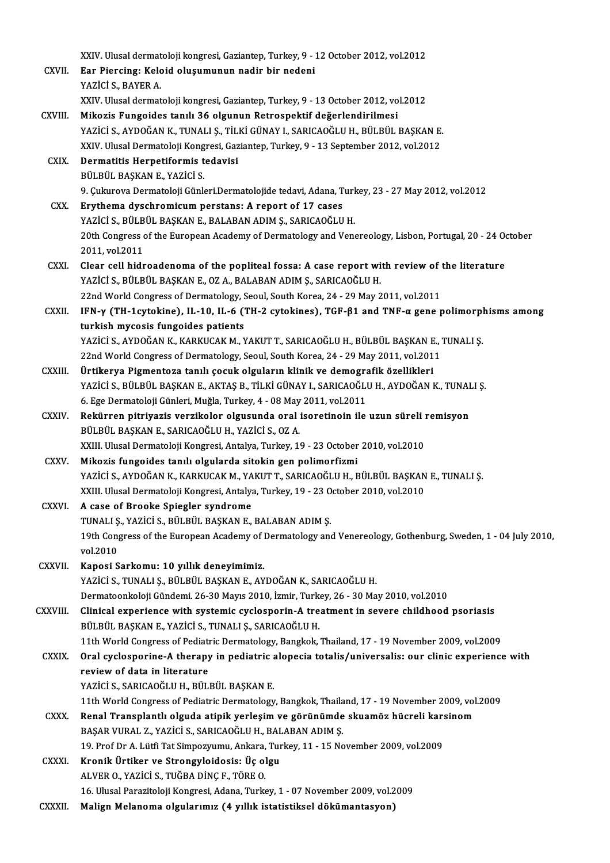|              | XXIV. Ulusal dermatoloji kongresi, Gaziantep, Turkey, 9 - 12 October 2012, vol.2012                                                                                             |
|--------------|---------------------------------------------------------------------------------------------------------------------------------------------------------------------------------|
| CXVII.       | Ear Piercing: Keloid oluşumunun nadir bir nedeni                                                                                                                                |
|              | YAZİCİ S., BAYER A                                                                                                                                                              |
|              | XXIV. Ulusal dermatoloji kongresi, Gaziantep, Turkey, 9 - 13 October 2012, vol.2012                                                                                             |
| CXVIII.      | Mikozis Fungoides tanılı 36 olgunun Retrospektif değerlendirilmesi                                                                                                              |
|              | YAZİCİ S., AYDOĞAN K., TUNALI Ş., TİLKİ GÜNAY I., SARICAOĞLU H., BÜLBÜL BAŞKAN E.                                                                                               |
|              | XXIV. Ulusal Dermatoloji Kongresi, Gaziantep, Turkey, 9 - 13 September 2012, vol.2012                                                                                           |
| <b>CXIX</b>  | Dermatitis Herpetiformis tedavisi                                                                                                                                               |
|              | BÜLBÜL BAŞKAN E, YAZİCİ S.                                                                                                                                                      |
|              | 9. Çukurova Dermatoloji Günleri Dermatolojide tedavi, Adana, Turkey, 23 - 27 May 2012, vol.2012                                                                                 |
| CXX.         | Erythema dyschromicum perstans: A report of 17 cases                                                                                                                            |
|              | YAZİCİ S., BÜLBÜL BAŞKAN E., BALABAN ADIM Ş., SARICAOĞLU H.                                                                                                                     |
|              | 20th Congress of the European Academy of Dermatology and Venereology, Lisbon, Portugal, 20 - 24 October                                                                         |
|              | 2011, vol 2011                                                                                                                                                                  |
| CXXI.        | Clear cell hidroadenoma of the popliteal fossa: A case report with review of the literature                                                                                     |
|              | YAZİCİ S., BÜLBÜL BAŞKAN E., OZ A., BALABAN ADIM Ş., SARICAOĞLU H.                                                                                                              |
|              | 22nd World Congress of Dermatology, Seoul, South Korea, 24 - 29 May 2011, vol.2011                                                                                              |
| CXXII.       | IFN- $\gamma$ (TH-1cytokine), IL-10, IL-6 (TH-2 cytokines), TGF- $\beta$ 1 and TNF- $\alpha$ gene polimorphisms among                                                           |
|              | turkish mycosis fungoides patients                                                                                                                                              |
|              | YAZİCİ S., AYDOĞAN K., KARKUCAK M., YAKUT T., SARICAOĞLU H., BÜLBÜL BAŞKAN E., TUNALI Ş.<br>22nd World Congress of Dermatology, Seoul, South Korea, 24 - 29 May 2011, vol.2011  |
| CXXIII.      | Ürtikerya Pigmentoza tanılı çocuk olguların klinik ve demografik özellikleri                                                                                                    |
|              | YAZİCİ S., BÜLBÜL BAŞKAN E., AKTAŞ B., TİLKİ GÜNAY I., SARICAOĞLU H., AYDOĞAN K., TUNALI Ş.                                                                                     |
|              | 6. Ege Dermatoloji Günleri, Muğla, Turkey, 4 - 08 May 2011, vol.2011                                                                                                            |
| <b>CXXIV</b> | Rekürren pitriyazis verzikolor olgusunda oral isoretinoin ile uzun süreli remisyon                                                                                              |
|              | BÜLBÜL BAŞKAN E., SARICAOĞLU H., YAZİCİ S., OZ A.                                                                                                                               |
|              | XXIII. Ulusal Dermatoloji Kongresi, Antalya, Turkey, 19 - 23 October 2010, vol.2010                                                                                             |
| CXXV.        | Mikozis fungoides tanılı olgularda sitokin gen polimorfizmi                                                                                                                     |
|              | YAZİCİ S., AYDOĞAN K., KARKUCAK M., YAKUT T., SARICAOĞLU H., BÜLBÜL BAŞKAN E., TUNALI Ş.                                                                                        |
|              | XXIII. Ulusal Dermatoloji Kongresi, Antalya, Turkey, 19 - 23 October 2010, vol.2010                                                                                             |
| CXXVI.       | A case of Brooke Spiegler syndrome                                                                                                                                              |
|              | TUNALI Ș., YAZİCİ S., BÜLBÜL BAŞKAN E., BALABAN ADIM Ş.                                                                                                                         |
|              | 19th Congress of the European Academy of Dermatology and Venereology, Gothenburg, Sweden, 1 - 04 July 2010,                                                                     |
|              | vol.2010                                                                                                                                                                        |
| CXXVII.      | Kaposi Sarkomu: 10 yıllık deneyimimiz.                                                                                                                                          |
|              | YAZİCİ S., TUNALI Ş., BÜLBÜL BAŞKAN E., AYDOĞAN K., SARICAOĞLU H.                                                                                                               |
|              | Dermatoonkoloji Gündemi. 26-30 Mayıs 2010, İzmir, Turkey, 26 - 30 May 2010, vol.2010<br>Clinical experience with systemic cyclosporin-A treatment in severe childhood psoriasis |
| CXXVIII.     | BÜLBÜL BAŞKAN E., YAZİCİ S., TUNALI Ş., SARICAOĞLU H.                                                                                                                           |
|              | 11th World Congress of Pediatric Dermatology, Bangkok, Thailand, 17 - 19 November 2009, vol.2009                                                                                |
| <b>CXXIX</b> | Oral cyclosporine-A therapy in pediatric alopecia totalis/universalis: our clinic experience with                                                                               |
|              | review of data in literature                                                                                                                                                    |
|              | YAZİCİ S., SARICAOĞLU H., BÜLBÜL BAŞKAN E.                                                                                                                                      |
|              | 11th World Congress of Pediatric Dermatology, Bangkok, Thailand, 17 - 19 November 2009, vol.2009                                                                                |
| CXXX.        | Renal Transplantlı olguda atipik yerleşim ve görünümde skuamöz hücreli karsinom                                                                                                 |
|              | BAŞAR VURAL Z., YAZİCİ S., SARICAOĞLU H., BALABAN ADIM Ş.                                                                                                                       |
|              | 19. Prof Dr A. Lütfi Tat Simpozyumu, Ankara, Turkey, 11 - 15 November 2009, vol.2009                                                                                            |
| <b>CXXXI</b> | Kronik Ürtiker ve Strongyloidosis: Üç olgu                                                                                                                                      |
|              | ALVER O., YAZİCİ S., TUĞBA DİNÇ F., TÖRE O.                                                                                                                                     |
|              | 16. Ulusal Parazitoloji Kongresi, Adana, Turkey, 1 - 07 November 2009, vol.2009                                                                                                 |
| CXXXII.      | Malign Melanoma olgularımız (4 yıllık istatistiksel dökümantasyon)                                                                                                              |